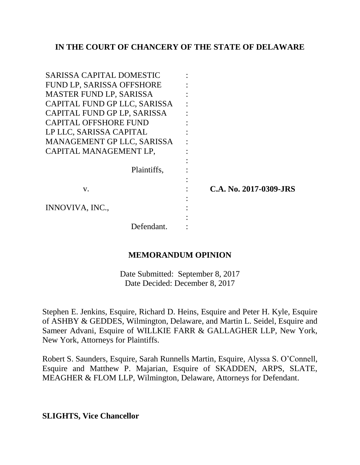## **IN THE COURT OF CHANCERY OF THE STATE OF DELAWARE**

| SARISSA CAPITAL DOMESTIC     |                        |
|------------------------------|------------------------|
| FUND LP, SARISSA OFFSHORE    |                        |
| MASTER FUND LP, SARISSA      |                        |
| CAPITAL FUND GP LLC, SARISSA |                        |
| CAPITAL FUND GP LP, SARISSA  |                        |
| <b>CAPITAL OFFSHORE FUND</b> |                        |
| LP LLC, SARISSA CAPITAL      |                        |
| MANAGEMENT GP LLC, SARISSA   |                        |
| CAPITAL MANAGEMENT LP,       |                        |
|                              |                        |
| Plaintiffs,                  |                        |
|                              |                        |
| V.                           | C.A. No. 2017-0309-JRS |
|                              |                        |
| INNOVIVA, INC.,              |                        |
|                              |                        |
| Defendant.                   |                        |

### **MEMORANDUM OPINION**

Date Submitted: September 8, 2017 Date Decided: December 8, 2017

Stephen E. Jenkins, Esquire, Richard D. Heins, Esquire and Peter H. Kyle, Esquire of ASHBY & GEDDES, Wilmington, Delaware, and Martin L. Seidel, Esquire and Sameer Advani, Esquire of WILLKIE FARR & GALLAGHER LLP, New York, New York, Attorneys for Plaintiffs.

Robert S. Saunders, Esquire, Sarah Runnells Martin, Esquire, Alyssa S. O'Connell, Esquire and Matthew P. Majarian, Esquire of SKADDEN, ARPS, SLATE, MEAGHER & FLOM LLP, Wilmington, Delaware, Attorneys for Defendant.

**SLIGHTS, Vice Chancellor**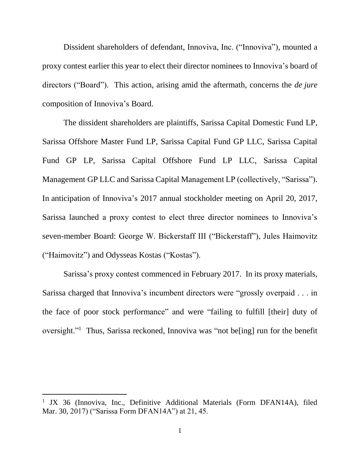Dissident shareholders of defendant, Innoviva, Inc. ("Innoviva"), mounted a proxy contest earlier this year to elect their director nominees to Innoviva's board of directors ("Board"). This action, arising amid the aftermath, concerns the *de jure*  composition of Innoviva's Board.

The dissident shareholders are plaintiffs, Sarissa Capital Domestic Fund LP, Sarissa Offshore Master Fund LP, Sarissa Capital Fund GP LLC, Sarissa Capital Fund GP LP, Sarissa Capital Offshore Fund LP LLC, Sarissa Capital Management GP LLC and Sarissa Capital Management LP (collectively, "Sarissa"). In anticipation of Innoviva's 2017 annual stockholder meeting on April 20, 2017, Sarissa launched a proxy contest to elect three director nominees to Innoviva's seven-member Board: George W. Bickerstaff III ("Bickerstaff"), Jules Haimovitz ("Haimovitz") and Odysseas Kostas ("Kostas").

Sarissa's proxy contest commenced in February 2017. In its proxy materials, Sarissa charged that Innoviva's incumbent directors were "grossly overpaid . . . in the face of poor stock performance" and were "failing to fulfill [their] duty of oversight."<sup>1</sup> Thus, Sarissa reckoned, Innoviva was "not be[ing] run for the benefit

<sup>&</sup>lt;sup>1</sup> JX 36 (Innoviva, Inc., Definitive Additional Materials (Form DFAN14A), filed Mar. 30, 2017) ("Sarissa Form DFAN14A") at 21, 45.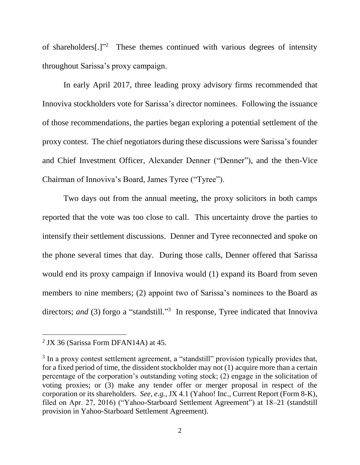of shareholders[.]"<sup>2</sup> These themes continued with various degrees of intensity throughout Sarissa's proxy campaign.

In early April 2017, three leading proxy advisory firms recommended that Innoviva stockholders vote for Sarissa's director nominees. Following the issuance of those recommendations, the parties began exploring a potential settlement of the proxy contest. The chief negotiators during these discussions were Sarissa's founder and Chief Investment Officer, Alexander Denner ("Denner"), and the then-Vice Chairman of Innoviva's Board, James Tyree ("Tyree").

Two days out from the annual meeting, the proxy solicitors in both camps reported that the vote was too close to call. This uncertainty drove the parties to intensify their settlement discussions. Denner and Tyree reconnected and spoke on the phone several times that day. During those calls, Denner offered that Sarissa would end its proxy campaign if Innoviva would (1) expand its Board from seven members to nine members; (2) appoint two of Sarissa's nominees to the Board as directors; and (3) forgo a "standstill."<sup>3</sup> In response, Tyree indicated that Innoviva

 $2$  JX 36 (Sarissa Form DFAN14A) at 45.

 $3$  In a proxy contest settlement agreement, a "standstill" provision typically provides that, for a fixed period of time, the dissident stockholder may not (1) acquire more than a certain percentage of the corporation's outstanding voting stock; (2) engage in the solicitation of voting proxies; or (3) make any tender offer or merger proposal in respect of the corporation or its shareholders. *See, e.g.*, JX 4.1 (Yahoo! Inc., Current Report (Form 8-K), filed on Apr. 27, 2016) ("Yahoo-Starboard Settlement Agreement") at 18–21 (standstill provision in Yahoo-Starboard Settlement Agreement).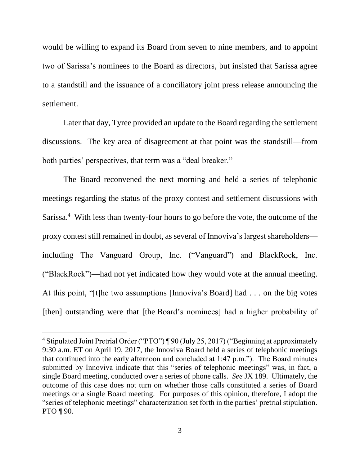would be willing to expand its Board from seven to nine members, and to appoint two of Sarissa's nominees to the Board as directors, but insisted that Sarissa agree to a standstill and the issuance of a conciliatory joint press release announcing the settlement.

Later that day, Tyree provided an update to the Board regarding the settlement discussions. The key area of disagreement at that point was the standstill—from both parties' perspectives, that term was a "deal breaker."

The Board reconvened the next morning and held a series of telephonic meetings regarding the status of the proxy contest and settlement discussions with Sarissa.<sup>4</sup> With less than twenty-four hours to go before the vote, the outcome of the proxy contest still remained in doubt, as several of Innoviva's largest shareholders including The Vanguard Group, Inc. ("Vanguard") and BlackRock, Inc. ("BlackRock")—had not yet indicated how they would vote at the annual meeting. At this point, "[t]he two assumptions [Innoviva's Board] had . . . on the big votes [then] outstanding were that [the Board's nominees] had a higher probability of

<sup>&</sup>lt;sup>4</sup> Stipulated Joint Pretrial Order ("PTO") ¶ 90 (July 25, 2017) ("Beginning at approximately 9:30 a.m. ET on April 19, 2017, the Innoviva Board held a series of telephonic meetings that continued into the early afternoon and concluded at 1:47 p.m."). The Board minutes submitted by Innoviva indicate that this "series of telephonic meetings" was, in fact, a single Board meeting, conducted over a series of phone calls. *See* JX 189. Ultimately, the outcome of this case does not turn on whether those calls constituted a series of Board meetings or a single Board meeting. For purposes of this opinion, therefore, I adopt the "series of telephonic meetings" characterization set forth in the parties' pretrial stipulation. PTO ¶ 90.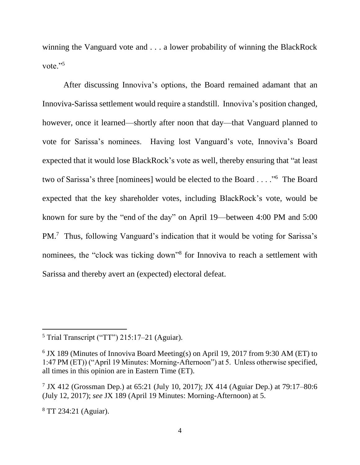winning the Vanguard vote and . . . a lower probability of winning the BlackRock vote."<sup>5</sup>

After discussing Innoviva's options, the Board remained adamant that an Innoviva-Sarissa settlement would require a standstill. Innoviva's position changed, however, once it learned—shortly after noon that day—that Vanguard planned to vote for Sarissa's nominees. Having lost Vanguard's vote, Innoviva's Board expected that it would lose BlackRock's vote as well, thereby ensuring that "at least two of Sarissa's three [nominees] would be elected to the Board . . . ."<sup>6</sup> The Board expected that the key shareholder votes, including BlackRock's vote, would be known for sure by the "end of the day" on April 19—between 4:00 PM and 5:00 PM.<sup>7</sup> Thus, following Vanguard's indication that it would be voting for Sarissa's nominees, the "clock was ticking down"<sup>8</sup> for Innoviva to reach a settlement with Sarissa and thereby avert an (expected) electoral defeat.

 $<sup>5</sup>$  Trial Transcript ("TT") 215:17–21 (Aguiar).</sup>

<sup>&</sup>lt;sup>6</sup> JX 189 (Minutes of Innoviva Board Meeting(s) on April 19, 2017 from 9:30 AM (ET) to 1:47 PM (ET)) ("April 19 Minutes: Morning-Afternoon") at 5. Unless otherwise specified, all times in this opinion are in Eastern Time (ET).

<sup>7</sup> JX 412 (Grossman Dep.) at 65:21 (July 10, 2017); JX 414 (Aguiar Dep.) at 79:17–80:6 (July 12, 2017); *see* JX 189 (April 19 Minutes: Morning-Afternoon) at 5.

<sup>8</sup> TT 234:21 (Aguiar).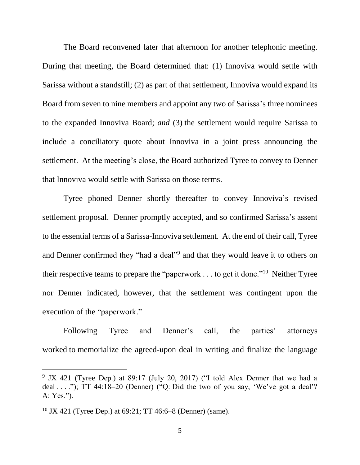The Board reconvened later that afternoon for another telephonic meeting. During that meeting, the Board determined that: (1) Innoviva would settle with Sarissa without a standstill; (2) as part of that settlement, Innoviva would expand its Board from seven to nine members and appoint any two of Sarissa's three nominees to the expanded Innoviva Board; *and* (3) the settlement would require Sarissa to include a conciliatory quote about Innoviva in a joint press announcing the settlement. At the meeting's close, the Board authorized Tyree to convey to Denner that Innoviva would settle with Sarissa on those terms.

Tyree phoned Denner shortly thereafter to convey Innoviva's revised settlement proposal. Denner promptly accepted, and so confirmed Sarissa's assent to the essential terms of a Sarissa-Innoviva settlement. At the end of their call, Tyree and Denner confirmed they "had a deal"<sup>9</sup> and that they would leave it to others on their respective teams to prepare the "paperwork  $\dots$  to get it done."<sup>10</sup> Neither Tyree nor Denner indicated, however, that the settlement was contingent upon the execution of the "paperwork."

Following Tyree and Denner's call, the parties' attorneys worked to memorialize the agreed-upon deal in writing and finalize the language

<sup>&</sup>lt;sup>9</sup> JX 421 (Tyree Dep.) at 89:17 (July 20, 2017) ("I told Alex Denner that we had a deal ...."); TT 44:18-20 (Denner) ("Q: Did the two of you say, 'We've got a deal'? A: Yes.").

<sup>&</sup>lt;sup>10</sup> JX 421 (Tyree Dep.) at  $69:21$ ; TT 46:6–8 (Denner) (same).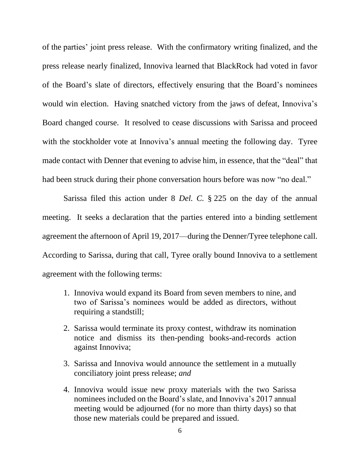of the parties' joint press release. With the confirmatory writing finalized, and the press release nearly finalized, Innoviva learned that BlackRock had voted in favor of the Board's slate of directors, effectively ensuring that the Board's nominees would win election. Having snatched victory from the jaws of defeat, Innoviva's Board changed course. It resolved to cease discussions with Sarissa and proceed with the stockholder vote at Innoviva's annual meeting the following day. Tyree made contact with Denner that evening to advise him, in essence, that the "deal" that had been struck during their phone conversation hours before was now "no deal."

Sarissa filed this action under 8 *Del. C.* § 225 on the day of the annual meeting. It seeks a declaration that the parties entered into a binding settlement agreement the afternoon of April 19, 2017—during the Denner/Tyree telephone call. According to Sarissa, during that call, Tyree orally bound Innoviva to a settlement agreement with the following terms:

- 1. Innoviva would expand its Board from seven members to nine, and two of Sarissa's nominees would be added as directors, without requiring a standstill;
- 2. Sarissa would terminate its proxy contest, withdraw its nomination notice and dismiss its then-pending books-and-records action against Innoviva;
- 3. Sarissa and Innoviva would announce the settlement in a mutually conciliatory joint press release; *and*
- 4. Innoviva would issue new proxy materials with the two Sarissa nominees included on the Board's slate, and Innoviva's 2017 annual meeting would be adjourned (for no more than thirty days) so that those new materials could be prepared and issued.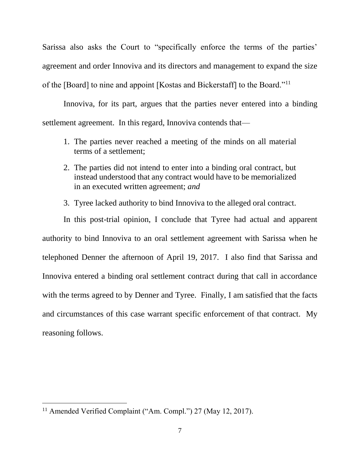Sarissa also asks the Court to "specifically enforce the terms of the parties' agreement and order Innoviva and its directors and management to expand the size of the [Board] to nine and appoint [Kostas and Bickerstaff] to the Board."<sup>11</sup>

Innoviva, for its part, argues that the parties never entered into a binding settlement agreement. In this regard, Innoviva contends that—

- 1. The parties never reached a meeting of the minds on all material terms of a settlement;
- 2. The parties did not intend to enter into a binding oral contract, but instead understood that any contract would have to be memorialized in an executed written agreement; *and*
- 3. Tyree lacked authority to bind Innoviva to the alleged oral contract.

In this post-trial opinion, I conclude that Tyree had actual and apparent authority to bind Innoviva to an oral settlement agreement with Sarissa when he telephoned Denner the afternoon of April 19, 2017. I also find that Sarissa and Innoviva entered a binding oral settlement contract during that call in accordance with the terms agreed to by Denner and Tyree. Finally, I am satisfied that the facts and circumstances of this case warrant specific enforcement of that contract. My reasoning follows.

<sup>&</sup>lt;sup>11</sup> Amended Verified Complaint ("Am. Compl.") 27 (May 12, 2017).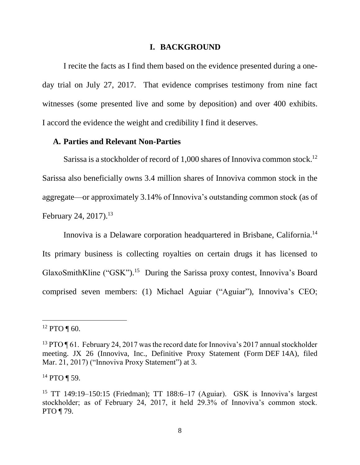#### **I. BACKGROUND**

I recite the facts as I find them based on the evidence presented during a oneday trial on July 27, 2017. That evidence comprises testimony from nine fact witnesses (some presented live and some by deposition) and over 400 exhibits. I accord the evidence the weight and credibility I find it deserves.

#### **A. Parties and Relevant Non-Parties**

Sarissa is a stockholder of record of 1,000 shares of Innoviva common stock.<sup>12</sup> Sarissa also beneficially owns 3.4 million shares of Innoviva common stock in the aggregate—or approximately 3.14% of Innoviva's outstanding common stock (as of February 24, 2017).<sup>13</sup>

Innoviva is a Delaware corporation headquartered in Brisbane, California.<sup>14</sup> Its primary business is collecting royalties on certain drugs it has licensed to GlaxoSmithKline ("GSK").<sup>15</sup> During the Sarissa proxy contest, Innoviva's Board comprised seven members: (1) Michael Aguiar ("Aguiar"), Innoviva's CEO;

 $\overline{a}$ 

<sup>14</sup> PTO ¶ 59.

 $12$  PTO ¶ 60.

<sup>&</sup>lt;sup>13</sup> PTO ¶ 61. February 24, 2017 was the record date for Innoviva's 2017 annual stockholder meeting. JX 26 (Innoviva, Inc., Definitive Proxy Statement (Form DEF 14A), filed Mar. 21, 2017) ("Innoviva Proxy Statement") at 3.

<sup>&</sup>lt;sup>15</sup> TT 149:19–150:15 (Friedman); TT 188:6–17 (Aguiar). GSK is Innoviva's largest stockholder; as of February 24, 2017, it held 29.3% of Innoviva's common stock. PTO ¶ 79.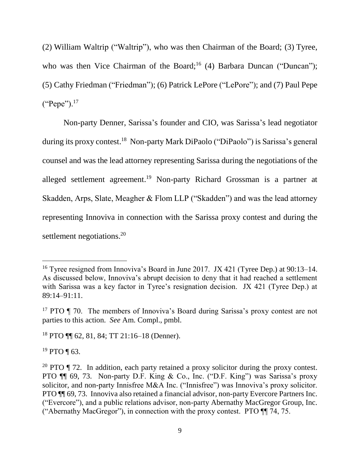(2) William Waltrip ("Waltrip"), who was then Chairman of the Board; (3) Tyree, who was then Vice Chairman of the Board;<sup>16</sup> (4) Barbara Duncan ("Duncan"); (5) Cathy Friedman ("Friedman"); (6) Patrick LePore ("LePore"); and (7) Paul Pepe ("Pepe").<sup>17</sup>

Non-party Denner, Sarissa's founder and CIO, was Sarissa's lead negotiator during its proxy contest.<sup>18</sup> Non-party Mark DiPaolo ("DiPaolo") is Sarissa's general counsel and was the lead attorney representing Sarissa during the negotiations of the alleged settlement agreement. <sup>19</sup> Non-party Richard Grossman is a partner at Skadden, Arps, Slate, Meagher & Flom LLP ("Skadden") and was the lead attorney representing Innoviva in connection with the Sarissa proxy contest and during the settlement negotiations.<sup>20</sup>

 $19$  PTO ¶ 63.

<sup>16</sup> Tyree resigned from Innoviva's Board in June 2017. JX 421 (Tyree Dep.) at 90:13–14. As discussed below, Innoviva's abrupt decision to deny that it had reached a settlement with Sarissa was a key factor in Tyree's resignation decision. JX 421 (Tyree Dep.) at 89:14–91:11.

<sup>&</sup>lt;sup>17</sup> PTO  $\P$  70. The members of Innoviva's Board during Sarissa's proxy contest are not parties to this action. *See* Am. Compl., pmbl.

<sup>18</sup> PTO ¶¶ 62, 81, 84; TT 21:16–18 (Denner).

<sup>&</sup>lt;sup>20</sup> PTO  $\P$  72. In addition, each party retained a proxy solicitor during the proxy contest. PTO ¶¶ 69, 73. Non-party D.F. King & Co., Inc. ("D.F. King") was Sarissa's proxy solicitor, and non-party Innisfree M&A Inc. ("Innisfree") was Innoviva's proxy solicitor. PTO ¶¶ 69, 73. Innoviva also retained a financial advisor, non-party Evercore Partners Inc. ("Evercore"), and a public relations advisor, non-party Abernathy MacGregor Group, Inc. ("Abernathy MacGregor"), in connection with the proxy contest. PTO ¶¶ 74, 75.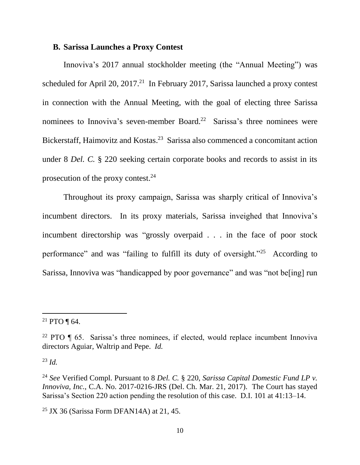#### **B. Sarissa Launches a Proxy Contest**

Innoviva's 2017 annual stockholder meeting (the "Annual Meeting") was scheduled for April 20,  $2017<sup>21</sup>$  In February 2017, Sarissa launched a proxy contest in connection with the Annual Meeting, with the goal of electing three Sarissa nominees to Innoviva's seven-member Board.<sup>22</sup> Sarissa's three nominees were Bickerstaff, Haimovitz and Kostas.<sup>23</sup> Sarissa also commenced a concomitant action under 8 *Del. C.* § 220 seeking certain corporate books and records to assist in its prosecution of the proxy contest. $24$ 

Throughout its proxy campaign, Sarissa was sharply critical of Innoviva's incumbent directors. In its proxy materials, Sarissa inveighed that Innoviva's incumbent directorship was "grossly overpaid . . . in the face of poor stock performance" and was "failing to fulfill its duty of oversight."<sup>25</sup> According to Sarissa, Innoviva was "handicapped by poor governance" and was "not be[ing] run

<sup>23</sup> *Id.*

<sup>&</sup>lt;sup>21</sup> PTO ¶ 64.

<sup>&</sup>lt;sup>22</sup> PTO  $\parallel$  65. Sarissa's three nominees, if elected, would replace incumbent Innoviva directors Aguiar, Waltrip and Pepe. *Id.*

<sup>24</sup> *See* Verified Compl. Pursuant to 8 *Del. C.* § 220, *Sarissa Capital Domestic Fund LP v. Innoviva, Inc.*, C.A. No. 2017-0216-JRS (Del. Ch. Mar. 21, 2017). The Court has stayed Sarissa's Section 220 action pending the resolution of this case. D.I. 101 at 41:13–14.

 $25$  JX 36 (Sarissa Form DFAN14A) at 21, 45.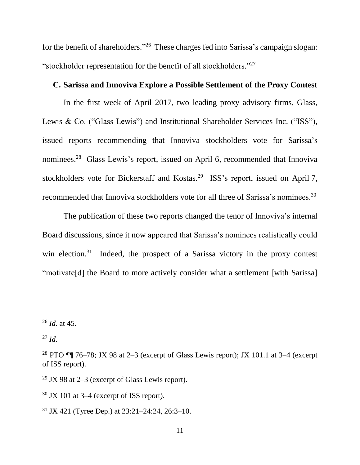for the benefit of shareholders."<sup>26</sup> These charges fed into Sarissa's campaign slogan: "stockholder representation for the benefit of all stockholders."<sup>27</sup>

### **C. Sarissa and Innoviva Explore a Possible Settlement of the Proxy Contest**

In the first week of April 2017, two leading proxy advisory firms, Glass, Lewis & Co. ("Glass Lewis") and Institutional Shareholder Services Inc. ("ISS"), issued reports recommending that Innoviva stockholders vote for Sarissa's nominees.<sup>28</sup> Glass Lewis's report, issued on April 6, recommended that Innoviva stockholders vote for Bickerstaff and Kostas.<sup>29</sup> ISS's report, issued on April 7, recommended that Innoviva stockholders vote for all three of Sarissa's nominees.<sup>30</sup>

The publication of these two reports changed the tenor of Innoviva's internal Board discussions, since it now appeared that Sarissa's nominees realistically could win election.<sup>31</sup> Indeed, the prospect of a Sarissa victory in the proxy contest "motivate[d] the Board to more actively consider what a settlement [with Sarissa]

<sup>26</sup> *Id.* at 45.

<sup>27</sup> *Id.*

<sup>&</sup>lt;sup>28</sup> PTO  $\P$  $\parallel$  76–78; JX 98 at 2–3 (excerpt of Glass Lewis report); JX 101.1 at 3–4 (excerpt of ISS report).

<sup>&</sup>lt;sup>29</sup> JX 98 at  $2-3$  (excerpt of Glass Lewis report).

 $30$  JX 101 at 3–4 (excerpt of ISS report).

<sup>31</sup> JX 421 (Tyree Dep.) at 23:21–24:24, 26:3–10.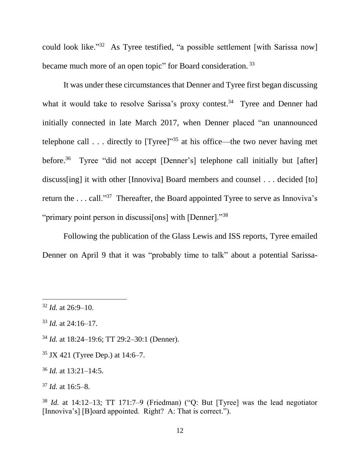could look like."<sup>32</sup> As Tyree testified, "a possible settlement [with Sarissa now] became much more of an open topic" for Board consideration.<sup>33</sup>

It was under these circumstances that Denner and Tyree first began discussing what it would take to resolve Sarissa's proxy contest.<sup>34</sup> Tyree and Denner had initially connected in late March 2017, when Denner placed "an unannounced telephone call  $\dots$  directly to [Tyree]"<sup>35</sup> at his office—the two never having met before. <sup>36</sup> Tyree "did not accept [Denner's] telephone call initially but [after] discuss[ing] it with other [Innoviva] Board members and counsel . . . decided [to] return the ... call."<sup>37</sup> Thereafter, the Board appointed Tyree to serve as Innoviva's "primary point person in discussi[ons] with [Denner]."<sup>38</sup>

Following the publication of the Glass Lewis and ISS reports, Tyree emailed Denner on April 9 that it was "probably time to talk" about a potential Sarissa-

 $\overline{a}$ 

<sup>34</sup> *Id.* at 18:24–19:6; TT 29:2–30:1 (Denner).

<sup>35</sup> JX 421 (Tyree Dep.) at 14:6–7.

<sup>36</sup> *Id.* at 13:21–14:5.

<sup>38</sup> *Id.* at 14:12–13; TT 171:7–9 (Friedman) ("Q: But [Tyree] was the lead negotiator [Innoviva's] [B]oard appointed. Right? A: That is correct.").

<sup>32</sup> *Id.* at 26:9–10.

<sup>33</sup> *Id.* at 24:16–17.

<sup>37</sup> *Id.* at 16:5–8.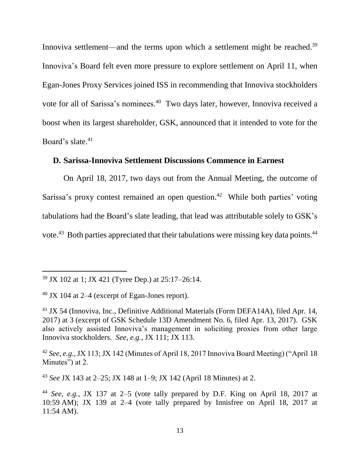Innoviva settlement—and the terms upon which a settlement might be reached.<sup>39</sup> Innoviva's Board felt even more pressure to explore settlement on April 11, when Egan-Jones Proxy Services joined ISS in recommending that Innoviva stockholders vote for all of Sarissa's nominees.<sup>40</sup> Two days later, however, Innoviva received a boost when its largest shareholder, GSK, announced that it intended to vote for the Board's slate. 41

### **D. Sarissa-Innoviva Settlement Discussions Commence in Earnest**

On April 18, 2017, two days out from the Annual Meeting, the outcome of Sarissa's proxy contest remained an open question.<sup>42</sup> While both parties' voting tabulations had the Board's slate leading, that lead was attributable solely to GSK's vote.<sup>43</sup> Both parties appreciated that their tabulations were missing key data points.<sup>44</sup>

l

<sup>43</sup> *See* JX 143 at 2–25; JX 148 at 1–9; JX 142 (April 18 Minutes) at 2.

<sup>39</sup> JX 102 at 1; JX 421 (Tyree Dep.) at 25:17–26:14.

 $40$  JX 104 at 2–4 (excerpt of Egan-Jones report).

<sup>41</sup> JX 54 (Innoviva, Inc., Definitive Additional Materials (Form DEFA14A), filed Apr. 14, 2017) at 3 (excerpt of GSK Schedule 13D Amendment No. 6, filed Apr. 13, 2017). GSK also actively assisted Innoviva's management in soliciting proxies from other large Innoviva stockholders. *See, e.g.*, JX 111; JX 113.

<sup>42</sup> *See, e.g.*, JX 113; JX 142 (Minutes of April 18, 2017 Innoviva Board Meeting) ("April 18 Minutes") at 2.

<sup>44</sup> *See, e.g.*, JX 137 at 2–5 (vote tally prepared by D.F. King on April 18, 2017 at 10:59 AM); JX 139 at 2–4 (vote tally prepared by Innisfree on April 18, 2017 at 11:54 AM).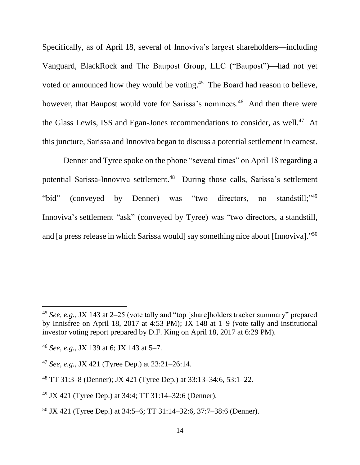Specifically, as of April 18, several of Innoviva's largest shareholders—including Vanguard, BlackRock and The Baupost Group, LLC ("Baupost")—had not yet voted or announced how they would be voting.<sup>45</sup> The Board had reason to believe, however, that Baupost would vote for Sarissa's nominees.<sup>46</sup> And then there were the Glass Lewis, ISS and Egan-Jones recommendations to consider, as well.<sup>47</sup> At this juncture, Sarissa and Innoviva began to discuss a potential settlement in earnest.

Denner and Tyree spoke on the phone "several times" on April 18 regarding a potential Sarissa-Innoviva settlement.<sup>48</sup> During those calls, Sarissa's settlement "bid" (conveyed by Denner) was "two directors, no standstill;"<sup>49</sup> Innoviva's settlement "ask" (conveyed by Tyree) was "two directors, a standstill, and [a press release in which Sarissa would] say something nice about [Innoviva]."<sup>50</sup>

<sup>45</sup> *See, e.g.*, JX 143 at 2–25 (vote tally and "top [share]holders tracker summary" prepared by Innisfree on April 18, 2017 at 4:53 PM); JX 148 at 1–9 (vote tally and institutional investor voting report prepared by D.F. King on April 18, 2017 at 6:29 PM).

<sup>46</sup> *See, e.g.*, JX 139 at 6; JX 143 at 5–7.

<sup>47</sup> *See, e.g.*, JX 421 (Tyree Dep.) at 23:21–26:14.

<sup>48</sup> TT 31:3–8 (Denner); JX 421 (Tyree Dep.) at 33:13–34:6, 53:1–22.

<sup>49</sup> JX 421 (Tyree Dep.) at 34:4; TT 31:14–32:6 (Denner).

<sup>50</sup> JX 421 (Tyree Dep.) at 34:5–6; TT 31:14–32:6, 37:7–38:6 (Denner).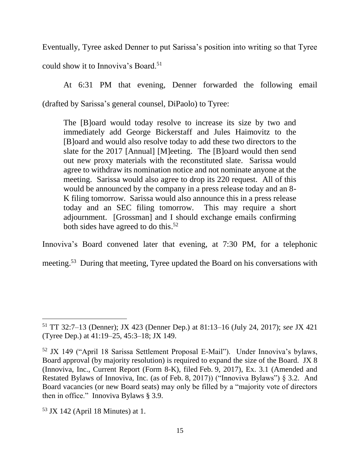Eventually, Tyree asked Denner to put Sarissa's position into writing so that Tyree could show it to Innoviva's Board.<sup>51</sup>

At 6:31 PM that evening, Denner forwarded the following email (drafted by Sarissa's general counsel, DiPaolo) to Tyree:

The [B]oard would today resolve to increase its size by two and immediately add George Bickerstaff and Jules Haimovitz to the [B]oard and would also resolve today to add these two directors to the slate for the 2017 [Annual] [M]eeting. The [B]oard would then send out new proxy materials with the reconstituted slate. Sarissa would agree to withdraw its nomination notice and not nominate anyone at the meeting. Sarissa would also agree to drop its 220 request. All of this would be announced by the company in a press release today and an 8- K filing tomorrow. Sarissa would also announce this in a press release today and an SEC filing tomorrow. This may require a short adjournment. [Grossman] and I should exchange emails confirming both sides have agreed to do this. 52

Innoviva's Board convened later that evening, at 7:30 PM, for a telephonic

meeting.<sup>53</sup> During that meeting, Tyree updated the Board on his conversations with

<sup>51</sup> TT 32:7–13 (Denner); JX 423 (Denner Dep.) at 81:13–16 (July 24, 2017); *see* JX 421 (Tyree Dep.) at 41:19–25, 45:3–18; JX 149.

<sup>52</sup> JX 149 ("April 18 Sarissa Settlement Proposal E-Mail"). Under Innoviva's bylaws, Board approval (by majority resolution) is required to expand the size of the Board. JX 8 (Innoviva, Inc., Current Report (Form 8-K), filed Feb. 9, 2017), Ex. 3.1 (Amended and Restated Bylaws of Innoviva, Inc. (as of Feb. 8, 2017)) ("Innoviva Bylaws") § 3.2. And Board vacancies (or new Board seats) may only be filled by a "majority vote of directors then in office." Innoviva Bylaws § 3.9.

 $53$  JX 142 (April 18 Minutes) at 1.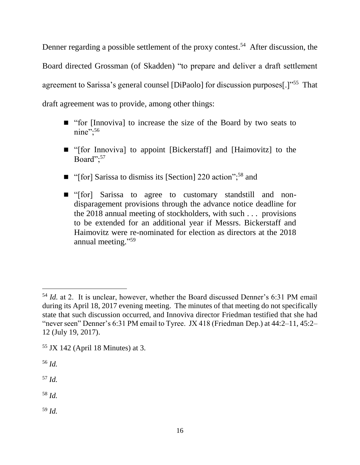Denner regarding a possible settlement of the proxy contest.<sup>54</sup> After discussion, the Board directed Grossman (of Skadden) "to prepare and deliver a draft settlement agreement to Sarissa's general counsel [DiPaolo] for discussion purposes<sup>[1]"55</sup> That draft agreement was to provide, among other things:

- "for [Innoviva] to increase the size of the Board by two seats to nine";<sup>56</sup>
- "[for Innoviva] to appoint [Bickerstaff] and [Haimovitz] to the Board";<sup>57</sup>
- "[for] Sarissa to dismiss its [Section] 220 action";<sup>58</sup> and
- "[for] Sarissa to agree to customary standstill and nondisparagement provisions through the advance notice deadline for the 2018 annual meeting of stockholders, with such . . . provisions to be extended for an additional year if Messrs. Bickerstaff and Haimovitz were re-nominated for election as directors at the 2018 annual meeting." 59

<sup>56</sup> *Id.*

 $\overline{a}$ 

<sup>57</sup> *Id.* 

<sup>58</sup> *Id.*

<sup>59</sup> *Id.* 

<sup>54</sup> *Id.* at 2. It is unclear, however, whether the Board discussed Denner's 6:31 PM email during its April 18, 2017 evening meeting. The minutes of that meeting do not specifically state that such discussion occurred, and Innoviva director Friedman testified that she had "never seen" Denner's 6:31 PM email to Tyree. JX 418 (Friedman Dep.) at 44:2–11, 45:2– 12 (July 19, 2017).

 $55$  JX 142 (April 18 Minutes) at 3.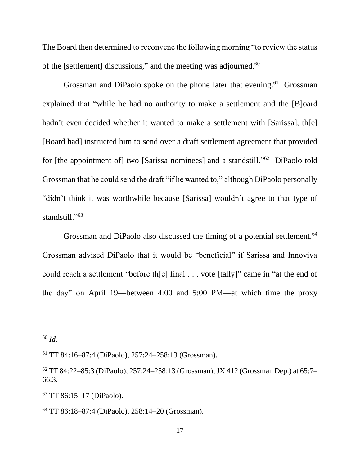The Board then determined to reconvene the following morning "to review the status of the [settlement] discussions," and the meeting was adjourned.<sup>60</sup>

Grossman and DiPaolo spoke on the phone later that evening.<sup>61</sup> Grossman explained that "while he had no authority to make a settlement and the [B]oard hadn't even decided whether it wanted to make a settlement with [Sarissa], th[e] [Board had] instructed him to send over a draft settlement agreement that provided for [the appointment of] two [Sarissa nominees] and a standstill."<sup>62</sup> DiPaolo told Grossman that he could send the draft "if he wanted to," although DiPaolo personally "didn't think it was worthwhile because [Sarissa] wouldn't agree to that type of standstill."<sup>63</sup>

Grossman and DiPaolo also discussed the timing of a potential settlement.<sup>64</sup> Grossman advised DiPaolo that it would be "beneficial" if Sarissa and Innoviva could reach a settlement "before th[e] final . . . vote [tally]" came in "at the end of the day" on April 19—between 4:00 and 5:00 PM—at which time the proxy

<sup>60</sup> *Id.*

<sup>61</sup> TT 84:16–87:4 (DiPaolo), 257:24–258:13 (Grossman).

 $62$  TT 84:22–85:3 (DiPaolo), 257:24–258:13 (Grossman); JX 412 (Grossman Dep.) at 65:7– 66:3.

<sup>63</sup> TT 86:15–17 (DiPaolo).

<sup>64</sup> TT 86:18–87:4 (DiPaolo), 258:14–20 (Grossman).

<sup>17</sup>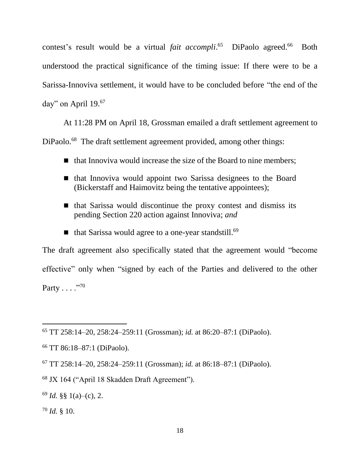contest's result would be a virtual *fait accompli*.<sup>65</sup> DiPaolo agreed.<sup>66</sup> Both understood the practical significance of the timing issue: If there were to be a Sarissa-Innoviva settlement, it would have to be concluded before "the end of the day" on April 19.<sup>67</sup>

At 11:28 PM on April 18, Grossman emailed a draft settlement agreement to DiPaolo.<sup>68</sup> The draft settlement agreement provided, among other things:

- $\blacksquare$  that Innoviva would increase the size of the Board to nine members;
- that Innoviva would appoint two Sarissa designees to the Board (Bickerstaff and Haimovitz being the tentative appointees);
- $\blacksquare$  that Sarissa would discontinue the proxy contest and dismiss its pending Section 220 action against Innoviva; *and*
- $\blacksquare$  that Sarissa would agree to a one-year standstill.<sup>69</sup>

The draft agreement also specifically stated that the agreement would "become effective" only when "signed by each of the Parties and delivered to the other Party . . . ."<sup>70</sup>

<sup>65</sup> TT 258:14–20, 258:24–259:11 (Grossman); *id.* at 86:20–87:1 (DiPaolo).

<sup>66</sup> TT 86:18–87:1 (DiPaolo).

<sup>67</sup> TT 258:14–20, 258:24–259:11 (Grossman); *id.* at 86:18–87:1 (DiPaolo).

<sup>68</sup> JX 164 ("April 18 Skadden Draft Agreement").

 $69$  *Id.* §§ 1(a)–(c), 2.

<sup>70</sup> *Id.* § 10.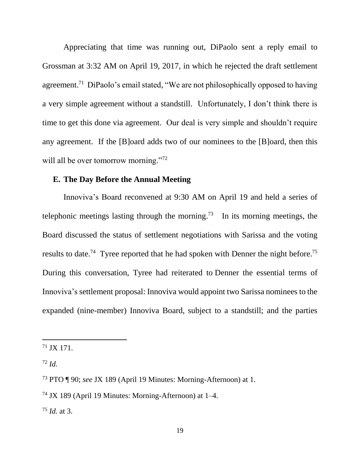Appreciating that time was running out, DiPaolo sent a reply email to Grossman at 3:32 AM on April 19, 2017, in which he rejected the draft settlement agreement.<sup>71</sup> DiPaolo's email stated, "We are not philosophically opposed to having a very simple agreement without a standstill. Unfortunately, I don't think there is time to get this done via agreement. Our deal is very simple and shouldn't require any agreement. If the [B]oard adds two of our nominees to the [B]oard, then this will all be over tomorrow morning."<sup>72</sup>

#### **E. The Day Before the Annual Meeting**

Innoviva's Board reconvened at 9:30 AM on April 19 and held a series of telephonic meetings lasting through the morning.<sup>73</sup> In its morning meetings, the Board discussed the status of settlement negotiations with Sarissa and the voting results to date.<sup>74</sup> Tyree reported that he had spoken with Denner the night before.<sup>75</sup> During this conversation, Tyree had reiterated to Denner the essential terms of Innoviva's settlement proposal: Innoviva would appoint two Sarissa nominees to the expanded (nine-member) Innoviva Board, subject to a standstill; and the parties

 $71$  JX 171.

<sup>72</sup> *Id.*

<sup>73</sup> PTO ¶ 90; *see* JX 189 (April 19 Minutes: Morning-Afternoon) at 1.

<sup>74</sup> JX 189 (April 19 Minutes: Morning-Afternoon) at 1–4.

<sup>75</sup> *Id.* at 3.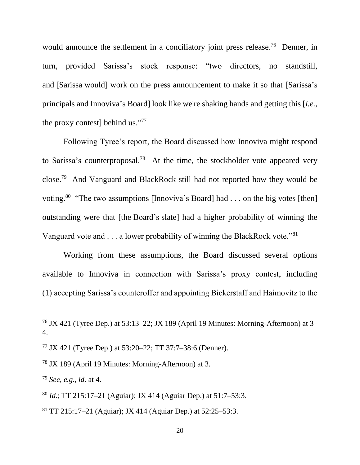would announce the settlement in a conciliatory joint press release.<sup>76</sup> Denner, in turn, provided Sarissa's stock response: "two directors, no standstill, and [Sarissa would] work on the press announcement to make it so that [Sarissa's principals and Innoviva's Board] look like we're shaking hands and getting this [*i.e.*, the proxy contest] behind us."77

Following Tyree's report, the Board discussed how Innoviva might respond to Sarissa's counterproposal.<sup>78</sup> At the time, the stockholder vote appeared very close.<sup>79</sup> And Vanguard and BlackRock still had not reported how they would be voting.<sup>80</sup> "The two assumptions [Innoviva's Board] had . . . on the big votes [then] outstanding were that [the Board's slate] had a higher probability of winning the Vanguard vote and  $\dots$  a lower probability of winning the BlackRock vote."<sup>81</sup>

Working from these assumptions, the Board discussed several options available to Innoviva in connection with Sarissa's proxy contest, including (1) accepting Sarissa's counteroffer and appointing Bickerstaff and Haimovitz to the

<sup>77</sup> JX 421 (Tyree Dep.) at 53:20–22; TT 37:7–38:6 (Denner).

<sup>78</sup> JX 189 (April 19 Minutes: Morning-Afternoon) at 3.

<sup>79</sup> *See, e.g.*, *id.* at 4.

 $\overline{a}$ 

<sup>80</sup> *Id.*; TT 215:17–21 (Aguiar); JX 414 (Aguiar Dep.) at 51:7–53:3.

<sup>81</sup> TT 215:17–21 (Aguiar); JX 414 (Aguiar Dep.) at 52:25–53:3.

<sup>&</sup>lt;sup>76</sup> JX 421 (Tyree Dep.) at 53:13–22; JX 189 (April 19 Minutes: Morning-Afternoon) at 3– 4.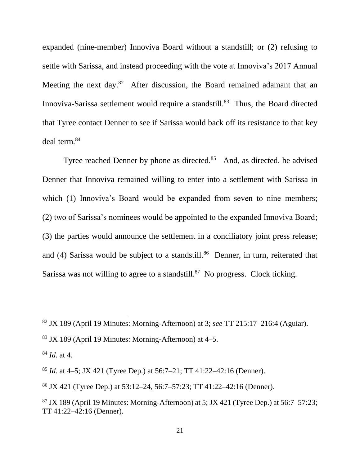expanded (nine-member) Innoviva Board without a standstill; or (2) refusing to settle with Sarissa, and instead proceeding with the vote at Innoviva's 2017 Annual Meeting the next day. $82$  After discussion, the Board remained adamant that an Innoviva-Sarissa settlement would require a standstill.<sup>83</sup> Thus, the Board directed that Tyree contact Denner to see if Sarissa would back off its resistance to that key deal term. 84

Tyree reached Denner by phone as directed. $85$  And, as directed, he advised Denner that Innoviva remained willing to enter into a settlement with Sarissa in which (1) Innoviva's Board would be expanded from seven to nine members; (2) two of Sarissa's nominees would be appointed to the expanded Innoviva Board; (3) the parties would announce the settlement in a conciliatory joint press release; and (4) Sarissa would be subject to a standstill. <sup>86</sup> Denner, in turn, reiterated that Sarissa was not willing to agree to a standstill. $87$  No progress. Clock ticking.

<sup>82</sup> JX 189 (April 19 Minutes: Morning-Afternoon) at 3; *see* TT 215:17–216:4 (Aguiar).

 $83$  JX 189 (April 19 Minutes: Morning-Afternoon) at 4–5.

<sup>84</sup> *Id.* at 4.

<sup>85</sup> *Id.* at 4–5; JX 421 (Tyree Dep.) at 56:7–21; TT 41:22–42:16 (Denner).

<sup>86</sup> JX 421 (Tyree Dep.) at 53:12–24, 56:7–57:23; TT 41:22–42:16 (Denner).

 $87$  JX 189 (April 19 Minutes: Morning-Afternoon) at 5; JX 421 (Tyree Dep.) at 56:7–57:23; TT 41:22–42:16 (Denner).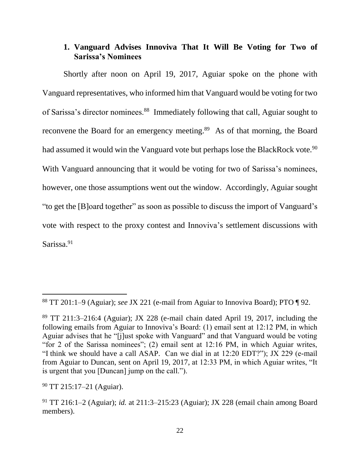## **1. Vanguard Advises Innoviva That It Will Be Voting for Two of Sarissa's Nominees**

Shortly after noon on April 19, 2017, Aguiar spoke on the phone with Vanguard representatives, who informed him that Vanguard would be voting for two of Sarissa's director nominees.<sup>88</sup> Immediately following that call, Aguiar sought to reconvene the Board for an emergency meeting.<sup>89</sup> As of that morning, the Board had assumed it would win the Vanguard vote but perhaps lose the BlackRock vote.<sup>90</sup> With Vanguard announcing that it would be voting for two of Sarissa's nominees, however, one those assumptions went out the window. Accordingly, Aguiar sought "to get the [B]oard together" as soon as possible to discuss the import of Vanguard's vote with respect to the proxy contest and Innoviva's settlement discussions with Sarissa.<sup>91</sup>

<sup>88</sup> TT 201:1–9 (Aguiar); *see* JX 221 (e-mail from Aguiar to Innoviva Board); PTO ¶ 92.

 $89$  TT 211:3–216:4 (Aguiar); JX 228 (e-mail chain dated April 19, 2017, including the following emails from Aguiar to Innoviva's Board: (1) email sent at 12:12 PM, in which Aguiar advises that he "[j]ust spoke with Vanguard" and that Vanguard would be voting "for 2 of the Sarissa nominees"; (2) email sent at 12:16 PM, in which Aguiar writes, "I think we should have a call ASAP. Can we dial in at 12:20 EDT?"); JX 229 (e-mail from Aguiar to Duncan, sent on April 19, 2017, at 12:33 PM, in which Aguiar writes, "It is urgent that you [Duncan] jump on the call.").

<sup>90</sup> TT 215:17–21 (Aguiar).

<sup>91</sup> TT 216:1–2 (Aguiar); *id.* at 211:3–215:23 (Aguiar); JX 228 (email chain among Board members).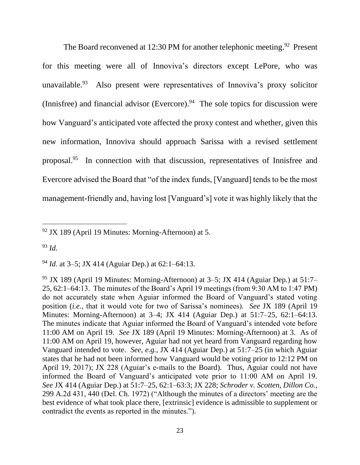The Board reconvened at 12:30 PM for another telephonic meeting.<sup>92</sup> Present for this meeting were all of Innoviva's directors except LePore, who was unavailable.  $93$  Also present were representatives of Innoviva's proxy solicitor (Innisfree) and financial advisor (Evercore). <sup>94</sup> The sole topics for discussion were how Vanguard's anticipated vote affected the proxy contest and whether, given this new information, Innoviva should approach Sarissa with a revised settlement proposal.<sup>95</sup> In connection with that discussion, representatives of Innisfree and Evercore advised the Board that "of the index funds, [Vanguard] tends to be the most management-friendly and, having lost [Vanguard's] vote it was highly likely that the

<sup>93</sup> *Id.*

l

<sup>94</sup> *Id.* at 3–5; JX 414 (Aguiar Dep.) at 62:1–64:13.

<sup>95</sup> JX 189 (April 19 Minutes: Morning-Afternoon) at 3–5; JX 414 (Aguiar Dep.) at 51:7– 25, 62:1–64:13. The minutes of the Board's April 19 meetings (from 9:30 AM to 1:47 PM) do not accurately state when Aguiar informed the Board of Vanguard's stated voting position (*i.e.*, that it would vote for two of Sarissa's nominees). *See* JX 189 (April 19 Minutes: Morning-Afternoon) at 3–4; JX 414 (Aguiar Dep.) at 51:7–25, 62:1–64:13. The minutes indicate that Aguiar informed the Board of Vanguard's intended vote before 11:00 AM on April 19. *See* JX 189 (April 19 Minutes: Morning-Afternoon) at 3. As of 11:00 AM on April 19, however, Aguiar had not yet heard from Vanguard regarding how Vanguard intended to vote. *See, e.g.*, JX 414 (Aguiar Dep.) at 51:7–25 (in which Aguiar states that he had not been informed how Vanguard would be voting prior to 12:12 PM on April 19, 2017); JX 228 (Aguiar's e-mails to the Board). Thus, Aguiar could not have informed the Board of Vanguard's anticipated vote prior to 11:00 AM on April 19. *See* JX 414 (Aguiar Dep.) at 51:7–25, 62:1–63:3; JX 228; *Schroder v. Scotten, Dillon Co.*, 299 A.2d 431, 440 (Del. Ch. 1972) ("Although the minutes of a directors' meeting are the best evidence of what took place there, [extrinsic] evidence is admissible to supplement or contradict the events as reported in the minutes.").

 $92$  JX 189 (April 19 Minutes: Morning-Afternoon) at 5.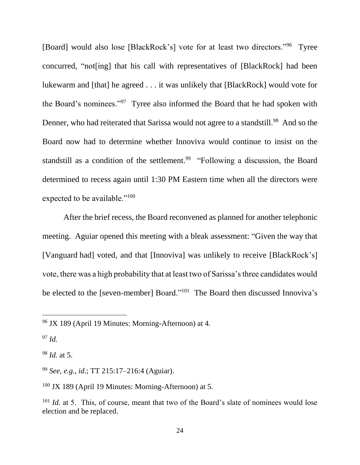[Board] would also lose [BlackRock's] vote for at least two directors."<sup>96</sup> Tyree concurred, "not[ing] that his call with representatives of [BlackRock] had been lukewarm and [that] he agreed . . . it was unlikely that [BlackRock] would vote for the Board's nominees."<sup>97</sup> Tyree also informed the Board that he had spoken with Denner, who had reiterated that Sarissa would not agree to a standstill.<sup>98</sup> And so the Board now had to determine whether Innoviva would continue to insist on the standstill as a condition of the settlement.<sup>99</sup> "Following a discussion, the Board determined to recess again until 1:30 PM Eastern time when all the directors were expected to be available."<sup>100</sup>

After the brief recess, the Board reconvened as planned for another telephonic meeting. Aguiar opened this meeting with a bleak assessment: "Given the way that [Vanguard had] voted, and that [Innoviva] was unlikely to receive [BlackRock's] vote, there was a high probability that at least two of Sarissa's three candidates would be elected to the [seven-member] Board."<sup>101</sup> The Board then discussed Innoviva's

<sup>97</sup> *Id.*

 $\overline{a}$ 

<sup>98</sup> *Id.* at 5.

<sup>99</sup> *See, e.g.*, *id*.; TT 215:17–216:4 (Aguiar).

<sup>100</sup> JX 189 (April 19 Minutes: Morning-Afternoon) at 5.

<sup>96</sup> JX 189 (April 19 Minutes: Morning-Afternoon) at 4.

<sup>&</sup>lt;sup>101</sup> *Id.* at 5. This, of course, meant that two of the Board's slate of nominees would lose election and be replaced.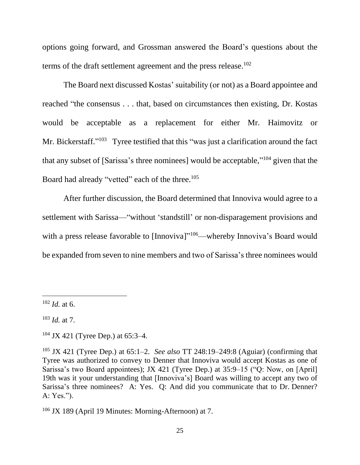options going forward, and Grossman answered the Board's questions about the terms of the draft settlement agreement and the press release.<sup>102</sup>

The Board next discussed Kostas' suitability (or not) as a Board appointee and reached "the consensus . . . that, based on circumstances then existing, Dr. Kostas would be acceptable as a replacement for either Mr. Haimovitz or Mr. Bickerstaff."<sup>103</sup> Tyree testified that this "was just a clarification around the fact that any subset of [Sarissa's three nominees] would be acceptable,"<sup>104</sup> given that the Board had already "vetted" each of the three.<sup>105</sup>

After further discussion, the Board determined that Innoviva would agree to a settlement with Sarissa—"without 'standstill' or non-disparagement provisions and with a press release favorable to [Innoviva]"<sup>106</sup>—whereby Innoviva's Board would be expanded from seven to nine members and two of Sarissa's three nominees would

 $102$  *Id.* at 6.

<sup>103</sup> *Id.* at 7.

<sup>104</sup> JX 421 (Tyree Dep.) at 65:3–4.

<sup>105</sup> JX 421 (Tyree Dep.) at 65:1–2. *See also* TT 248:19–249:8 (Aguiar) (confirming that Tyree was authorized to convey to Denner that Innoviva would accept Kostas as one of Sarissa's two Board appointees); JX 421 (Tyree Dep.) at 35:9–15 ("Q: Now, on [April] 19th was it your understanding that [Innoviva's] Board was willing to accept any two of Sarissa's three nominees? A: Yes. Q: And did you communicate that to Dr. Denner? A: Yes.").

<sup>106</sup> JX 189 (April 19 Minutes: Morning-Afternoon) at 7.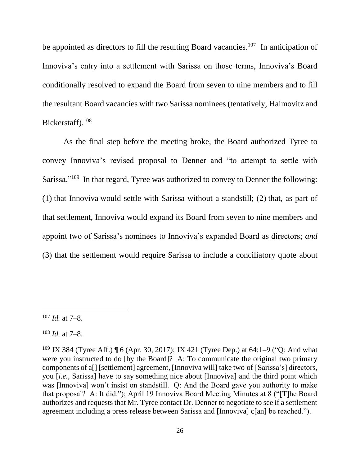be appointed as directors to fill the resulting Board vacancies.<sup>107</sup> In anticipation of Innoviva's entry into a settlement with Sarissa on those terms, Innoviva's Board conditionally resolved to expand the Board from seven to nine members and to fill the resultant Board vacancies with two Sarissa nominees (tentatively, Haimovitz and Bickerstaff).<sup>108</sup>

As the final step before the meeting broke, the Board authorized Tyree to convey Innoviva's revised proposal to Denner and "to attempt to settle with Sarissa."<sup>109</sup> In that regard, Tyree was authorized to convey to Denner the following: (1) that Innoviva would settle with Sarissa without a standstill; (2) that, as part of that settlement, Innoviva would expand its Board from seven to nine members and appoint two of Sarissa's nominees to Innoviva's expanded Board as directors; *and* (3) that the settlement would require Sarissa to include a conciliatory quote about

<sup>107</sup> *Id.* at 7–8.

<sup>108</sup> *Id.* at 7–8.

<sup>&</sup>lt;sup>109</sup> JX 384 (Tyree Aff.)  $\P$  6 (Apr. 30, 2017); JX 421 (Tyree Dep.) at 64:1–9 ("O: And what were you instructed to do [by the Board]? A: To communicate the original two primary components of a[] [settlement] agreement, [Innoviva will] take two of [Sarissa's] directors, you [*i.e.*, Sarissa] have to say something nice about [Innoviva] and the third point which was [Innoviva] won't insist on standstill. Q: And the Board gave you authority to make that proposal? A: It did."); April 19 Innoviva Board Meeting Minutes at 8 ("[T]he Board authorizes and requests that Mr. Tyree contact Dr. Denner to negotiate to see if a settlement agreement including a press release between Sarissa and [Innoviva] c[an] be reached.").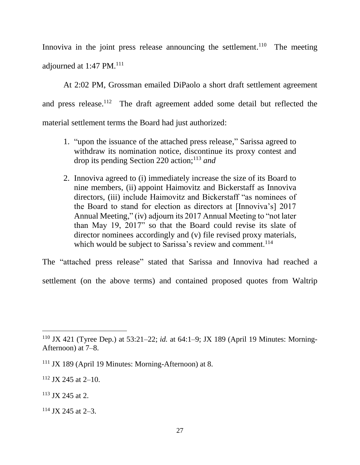Innoviva in the joint press release announcing the settlement.<sup>110</sup> The meeting adjourned at 1:47 PM. $^{111}$ 

At 2:02 PM, Grossman emailed DiPaolo a short draft settlement agreement and press release.<sup>112</sup> The draft agreement added some detail but reflected the material settlement terms the Board had just authorized:

- 1. "upon the issuance of the attached press release," Sarissa agreed to withdraw its nomination notice, discontinue its proxy contest and drop its pending Section 220 action;<sup>113</sup> *and*
- 2. Innoviva agreed to (i) immediately increase the size of its Board to nine members, (ii) appoint Haimovitz and Bickerstaff as Innoviva directors, (iii) include Haimovitz and Bickerstaff "as nominees of the Board to stand for election as directors at [Innoviva's] 2017 Annual Meeting," (iv) adjourn its 2017 Annual Meeting to "not later than May 19, 2017" so that the Board could revise its slate of director nominees accordingly and (v) file revised proxy materials, which would be subject to Sarissa's review and comment.<sup>114</sup>

The "attached press release" stated that Sarissa and Innoviva had reached a settlement (on the above terms) and contained proposed quotes from Waltrip

<sup>113</sup> JX 245 at 2.

l

 $114$  JX 245 at 2-3.

<sup>110</sup> JX 421 (Tyree Dep.) at 53:21–22; *id.* at 64:1–9; JX 189 (April 19 Minutes: Morning-Afternoon) at 7–8.

<sup>111</sup> JX 189 (April 19 Minutes: Morning-Afternoon) at 8.

 $112$  JX 245 at 2–10.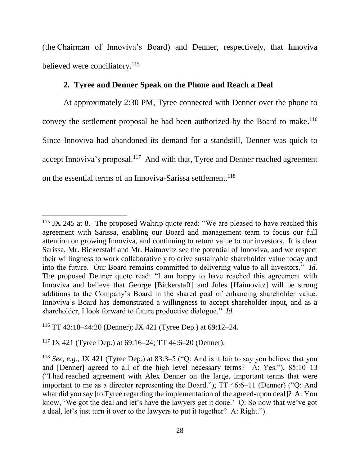(the Chairman of Innoviva's Board) and Denner, respectively, that Innoviva believed were conciliatory.<sup>115</sup>

### **2. Tyree and Denner Speak on the Phone and Reach a Deal**

At approximately 2:30 PM, Tyree connected with Denner over the phone to convey the settlement proposal he had been authorized by the Board to make.<sup>116</sup> Since Innoviva had abandoned its demand for a standstill, Denner was quick to accept Innoviva's proposal.<sup>117</sup> And with that, Tyree and Denner reached agreement on the essential terms of an Innoviva-Sarissa settlement.<sup>118</sup>

 $115$  JX 245 at 8. The proposed Waltrip quote read: "We are pleased to have reached this agreement with Sarissa, enabling our Board and management team to focus our full attention on growing Innoviva, and continuing to return value to our investors. It is clear Sarissa, Mr. Bickerstaff and Mr. Haimovitz see the potential of Innoviva, and we respect their willingness to work collaboratively to drive sustainable shareholder value today and into the future. Our Board remains committed to delivering value to all investors." *Id.*  The proposed Denner quote read: "I am happy to have reached this agreement with Innoviva and believe that George [Bickerstaff] and Jules [Haimovitz] will be strong additions to the Company's Board in the shared goal of enhancing shareholder value. Innoviva's Board has demonstrated a willingness to accept shareholder input, and as a shareholder, I look forward to future productive dialogue." *Id.*

<sup>116</sup> TT 43:18–44:20 (Denner); JX 421 (Tyree Dep.) at 69:12–24.

 $117$  JX 421 (Tyree Dep.) at 69:16–24; TT 44:6–20 (Denner).

<sup>&</sup>lt;sup>118</sup> *See, e.g.*, JX 421 (Tyree Dep.) at 83:3–5 ("Q: And is it fair to say you believe that you and [Denner] agreed to all of the high level necessary terms? A: Yes."), 85:10–13 ("I had reached agreement with Alex Denner on the large, important terms that were important to me as a director representing the Board."); TT 46:6–11 (Denner) ("Q: And what did you say [to Tyree regarding the implementation of the agreed-upon deal]? A: You know, 'We got the deal and let's have the lawyers get it done.' Q: So now that we've got a deal, let's just turn it over to the lawyers to put it together? A: Right.").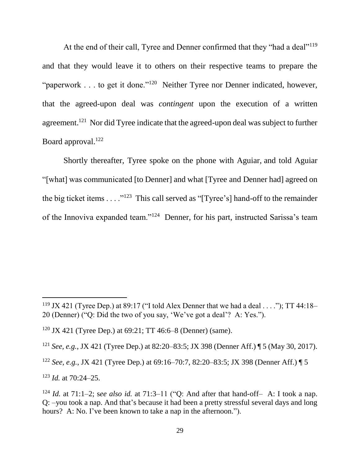At the end of their call, Tyree and Denner confirmed that they "had a deal"<sup>119</sup> and that they would leave it to others on their respective teams to prepare the "paperwork . . . to get it done."<sup>120</sup> Neither Tyree nor Denner indicated, however, that the agreed-upon deal was *contingent* upon the execution of a written agreement.<sup>121</sup> Nor did Tyree indicate that the agreed-upon deal was subject to further Board approval.<sup>122</sup>

Shortly thereafter, Tyree spoke on the phone with Aguiar, and told Aguiar "[what] was communicated [to Denner] and what [Tyree and Denner had] agreed on the big ticket items  $\dots$ <sup>123</sup> This call served as "[Tyree's] hand-off to the remainder of the Innoviva expanded team."<sup>124</sup> Denner, for his part, instructed Sarissa's team

<sup>&</sup>lt;sup>119</sup> JX 421 (Tyree Dep.) at 89:17 ("I told Alex Denner that we had a deal . . . ."); TT 44:18-20 (Denner) ("Q: Did the two of you say, 'We've got a deal'? A: Yes.").

<sup>&</sup>lt;sup>120</sup> JX 421 (Tyree Dep.) at  $69:21$ ; TT 46:6–8 (Denner) (same).

<sup>121</sup> *See, e.g.*, JX 421 (Tyree Dep.) at 82:20–83:5; JX 398 (Denner Aff.) ¶ 5 (May 30, 2017).

<sup>122</sup> *See, e.g.*, JX 421 (Tyree Dep.) at 69:16–70:7, 82:20–83:5; JX 398 (Denner Aff.) ¶ 5

<sup>123</sup> *Id.* at 70:24–25.

<sup>124</sup> *Id.* at 71:1–2; s*ee also id.* at 71:3–11 ("Q: And after that hand-off– A: I took a nap. Q: –you took a nap. And that's because it had been a pretty stressful several days and long hours? A: No. I've been known to take a nap in the afternoon.").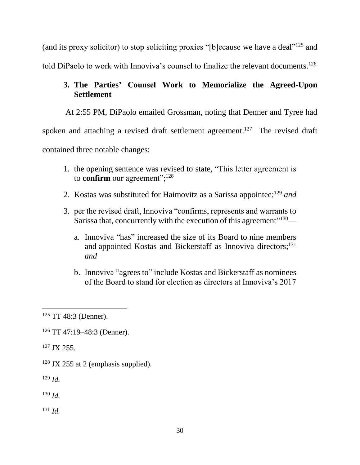(and its proxy solicitor) to stop soliciting proxies "[b]ecause we have a deal"<sup>125</sup> and told DiPaolo to work with Innoviva's counsel to finalize the relevant documents.<sup>126</sup>

# **3. The Parties' Counsel Work to Memorialize the Agreed-Upon Settlement**

At 2:55 PM, DiPaolo emailed Grossman, noting that Denner and Tyree had

spoken and attaching a revised draft settlement agreement.<sup>127</sup> The revised draft

contained three notable changes:

- 1. the opening sentence was revised to state, "This letter agreement is to **confirm** our agreement";<sup>128</sup>
- 2. Kostas was substituted for Haimovitz as a Sarissa appointee; <sup>129</sup> *and*
- 3. per the revised draft, Innoviva "confirms, represents and warrants to Sarissa that, concurrently with the execution of this agreement"<sup>130</sup>
	- a. Innoviva "has" increased the size of its Board to nine members and appointed Kostas and Bickerstaff as Innoviva directors;<sup>131</sup> *and*
	- b. Innoviva "agrees to" include Kostas and Bickerstaff as nominees of the Board to stand for election as directors at Innoviva's 2017

<sup>127</sup> JX 255.

 $128$  JX 255 at 2 (emphasis supplied).

<sup>129</sup> *Id.*

 $130$  *Id.* 

 $^{131}$  *Id.* 

 $\overline{a}$  $125$  TT 48:3 (Denner).

<sup>126</sup> TT 47:19–48:3 (Denner).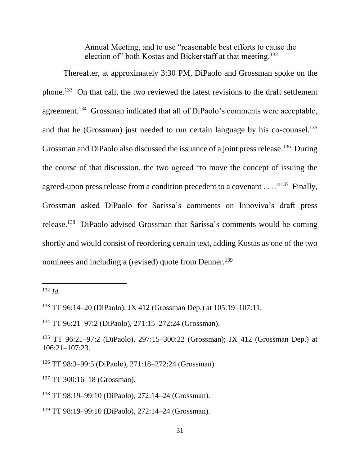Annual Meeting, and to use "reasonable best efforts to cause the election of" both Kostas and Bickerstaff at that meeting.<sup>132</sup>

Thereafter, at approximately 3:30 PM, DiPaolo and Grossman spoke on the phone.<sup>133</sup> On that call, the two reviewed the latest revisions to the draft settlement agreement.<sup>134</sup> Grossman indicated that all of DiPaolo's comments were acceptable, and that he (Grossman) just needed to run certain language by his co-counsel.<sup>135</sup> Grossman and DiPaolo also discussed the issuance of a joint press release.<sup>136</sup> During the course of that discussion, the two agreed "to move the concept of issuing the agreed-upon press release from a condition precedent to a covenant  $\dots$ <sup>137</sup> Finally, Grossman asked DiPaolo for Sarissa's comments on Innoviva's draft press release.<sup>138</sup> DiPaolo advised Grossman that Sarissa's comments would be coming shortly and would consist of reordering certain text, adding Kostas as one of the two nominees and including a (revised) quote from Denner.<sup>139</sup>

<sup>132</sup> *Id.*

<sup>133</sup> TT 96:14–20 (DiPaolo); JX 412 (Grossman Dep.) at 105:19–107:11.

<sup>134</sup> TT 96:21–97:2 (DiPaolo), 271:15–272:24 (Grossman).

<sup>135</sup> TT 96:21–97:2 (DiPaolo), 297:15–300:22 (Grossman); JX 412 (Grossman Dep.) at 106:21–107:23.

<sup>136</sup> TT 98:3–99:5 (DiPaolo), 271:18–272:24 (Grossman)

<sup>137</sup> TT 300:16–18 (Grossman).

<sup>138</sup> TT 98:19–99:10 (DiPaolo), 272:14–24 (Grossman).

<sup>139</sup> TT 98:19–99:10 (DiPaolo), 272:14–24 (Grossman).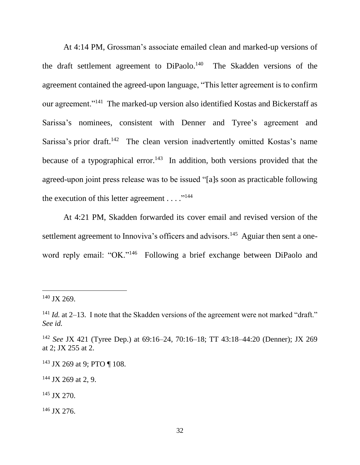At 4:14 PM, Grossman's associate emailed clean and marked-up versions of the draft settlement agreement to DiPaolo.<sup>140</sup> The Skadden versions of the agreement contained the agreed-upon language, "This letter agreement is to confirm our agreement."<sup>141</sup> The marked-up version also identified Kostas and Bickerstaff as Sarissa's nominees, consistent with Denner and Tyree's agreement and Sarissa's prior draft.<sup>142</sup> The clean version inadvertently omitted Kostas's name because of a typographical error.<sup>143</sup> In addition, both versions provided that the agreed-upon joint press release was to be issued "[a]s soon as practicable following the execution of this letter agreement  $\dots$ ."<sup>144</sup>

At 4:21 PM, Skadden forwarded its cover email and revised version of the settlement agreement to Innoviva's officers and advisors.<sup>145</sup> Aguiar then sent a oneword reply email: "OK."<sup>146</sup> Following a brief exchange between DiPaolo and

<sup>140</sup> JX 269.

 $141$  *Id.* at 2–13. I note that the Skadden versions of the agreement were not marked "draft." *See id.*

<sup>142</sup> *See* JX 421 (Tyree Dep.) at 69:16–24, 70:16–18; TT 43:18–44:20 (Denner); JX 269 at 2; JX 255 at 2.

<sup>&</sup>lt;sup>143</sup> JX 269 at 9; PTO ¶ 108.

 $144$  JX 269 at 2, 9.

<sup>145</sup> JX 270.

 $146$  JX 276.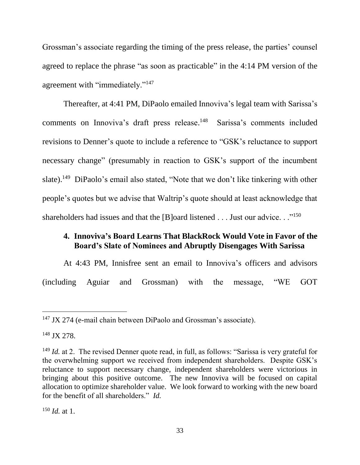Grossman's associate regarding the timing of the press release, the parties' counsel agreed to replace the phrase "as soon as practicable" in the 4:14 PM version of the agreement with "immediately."<sup>147</sup>

Thereafter, at 4:41 PM, DiPaolo emailed Innoviva's legal team with Sarissa's comments on Innoviva's draft press release.<sup>148</sup> Sarissa's comments included revisions to Denner's quote to include a reference to "GSK's reluctance to support necessary change" (presumably in reaction to GSK's support of the incumbent slate).<sup>149</sup> DiPaolo's email also stated, "Note that we don't like tinkering with other people's quotes but we advise that Waltrip's quote should at least acknowledge that shareholders had issues and that the [B]oard listened . . . Just our advice. . ."<sup>150</sup>

### **4. Innoviva's Board Learns That BlackRock Would Vote in Favor of the Board's Slate of Nominees and Abruptly Disengages With Sarissa**

At 4:43 PM, Innisfree sent an email to Innoviva's officers and advisors (including Aguiar and Grossman) with the message, "WE GOT

<sup>&</sup>lt;sup>147</sup> JX 274 (e-mail chain between DiPaolo and Grossman's associate).

<sup>148</sup> JX 278.

<sup>&</sup>lt;sup>149</sup> *Id.* at 2. The revised Denner quote read, in full, as follows: "Sarissa is very grateful for the overwhelming support we received from independent shareholders. Despite GSK's reluctance to support necessary change, independent shareholders were victorious in bringing about this positive outcome. The new Innoviva will be focused on capital allocation to optimize shareholder value. We look forward to working with the new board for the benefit of all shareholders." *Id.*

<sup>150</sup> *Id.* at 1.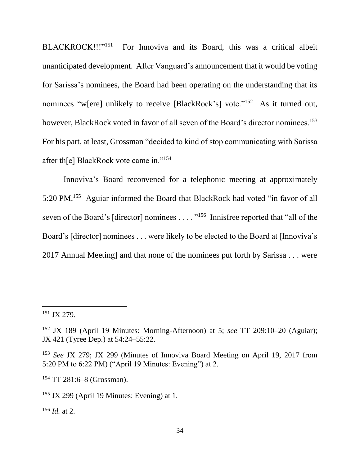BLACKROCK!!!"<sup>151</sup> For Innoviva and its Board, this was a critical albeit unanticipated development. After Vanguard's announcement that it would be voting for Sarissa's nominees, the Board had been operating on the understanding that its nominees "w[ere] unlikely to receive [BlackRock's] vote."<sup>152</sup> As it turned out, however, BlackRock voted in favor of all seven of the Board's director nominees.<sup>153</sup> For his part, at least, Grossman "decided to kind of stop communicating with Sarissa after th[e] BlackRock vote came in."<sup>154</sup>

Innoviva's Board reconvened for a telephonic meeting at approximately 5:20 PM.<sup>155</sup> Aguiar informed the Board that BlackRock had voted "in favor of all seven of the Board's [director] nominees . . . . "<sup>156</sup> Innisfree reported that "all of the Board's [director] nominees . . . were likely to be elected to the Board at [Innoviva's 2017 Annual Meeting] and that none of the nominees put forth by Sarissa . . . were

 $\overline{a}$ 

<sup>154</sup> TT 281:6–8 (Grossman).

<sup>156</sup> *Id.* at 2.

<sup>151</sup> JX 279.

<sup>152</sup> JX 189 (April 19 Minutes: Morning-Afternoon) at 5; *see* TT 209:10–20 (Aguiar); JX 421 (Tyree Dep.) at 54:24–55:22.

<sup>153</sup> *See* JX 279; JX 299 (Minutes of Innoviva Board Meeting on April 19, 2017 from 5:20 PM to 6:22 PM) ("April 19 Minutes: Evening") at 2.

 $155$  JX 299 (April 19 Minutes: Evening) at 1.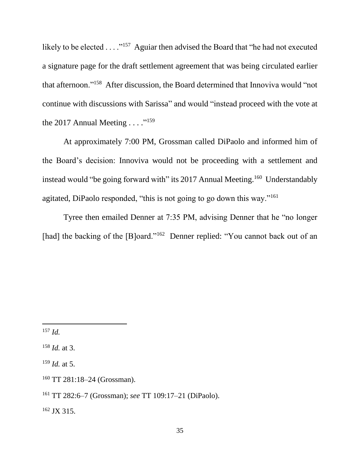likely to be elected  $\ldots$ ."<sup>157</sup> Aguiar then advised the Board that "he had not executed a signature page for the draft settlement agreement that was being circulated earlier that afternoon."<sup>158</sup> After discussion, the Board determined that Innoviva would "not continue with discussions with Sarissa" and would "instead proceed with the vote at the 2017 Annual Meeting  $\ldots$ ."<sup>159</sup>

At approximately 7:00 PM, Grossman called DiPaolo and informed him of the Board's decision: Innoviva would not be proceeding with a settlement and instead would "be going forward with" its 2017 Annual Meeting.<sup>160</sup> Understandably agitated, DiPaolo responded, "this is not going to go down this way."<sup>161</sup>

Tyree then emailed Denner at 7:35 PM, advising Denner that he "no longer [had] the backing of the [B]oard."<sup>162</sup> Denner replied: "You cannot back out of an

<sup>158</sup> *Id.* at 3.

<sup>159</sup> *Id.* at 5.

 $162$  JX 315.

l <sup>157</sup> *Id.*

<sup>160</sup> TT 281:18–24 (Grossman).

<sup>161</sup> TT 282:6–7 (Grossman); *see* TT 109:17–21 (DiPaolo).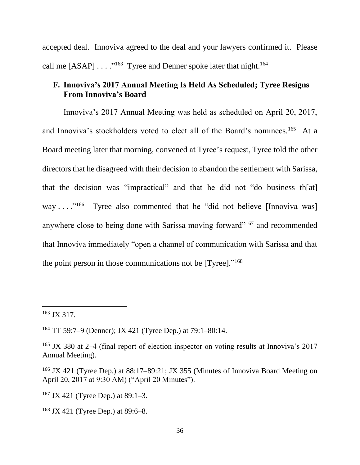accepted deal. Innoviva agreed to the deal and your lawyers confirmed it. Please call me  $[ASAP] \ldots$ ."<sup>163</sup> Tyree and Denner spoke later that night.<sup>164</sup>

### **F. Innoviva's 2017 Annual Meeting Is Held As Scheduled; Tyree Resigns From Innoviva's Board**

Innoviva's 2017 Annual Meeting was held as scheduled on April 20, 2017, and Innoviva's stockholders voted to elect all of the Board's nominees.<sup>165</sup> At a Board meeting later that morning, convened at Tyree's request, Tyree told the other directors that he disagreed with their decision to abandon the settlement with Sarissa, that the decision was "impractical" and that he did not "do business th[at] way . . . . . . . . . . . . . . Tyree also commented that he "did not believe [Innoviva was] anywhere close to being done with Sarissa moving forward"<sup>167</sup> and recommended that Innoviva immediately "open a channel of communication with Sarissa and that the point person in those communications not be [Tyree]."<sup>168</sup>

 $\overline{a}$ 

 $167$  JX 421 (Tyree Dep.) at 89:1–3.

<sup>163</sup> JX 317.

<sup>164</sup> TT 59:7–9 (Denner); JX 421 (Tyree Dep.) at 79:1–80:14.

<sup>&</sup>lt;sup>165</sup> JX 380 at 2–4 (final report of election inspector on voting results at Innoviva's 2017 Annual Meeting).

<sup>166</sup> JX 421 (Tyree Dep.) at 88:17–89:21; JX 355 (Minutes of Innoviva Board Meeting on April 20, 2017 at 9:30 AM) ("April 20 Minutes").

 $168$  JX 421 (Tyree Dep.) at 89:6–8.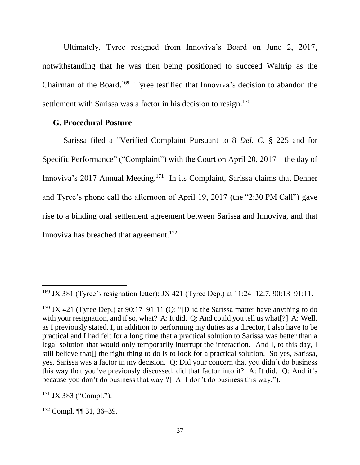Ultimately, Tyree resigned from Innoviva's Board on June 2, 2017, notwithstanding that he was then being positioned to succeed Waltrip as the Chairman of the Board.<sup>169</sup> Tyree testified that Innoviva's decision to abandon the settlement with Sarissa was a factor in his decision to resign.<sup>170</sup>

#### **G. Procedural Posture**

Sarissa filed a "Verified Complaint Pursuant to 8 *Del. C.* § 225 and for Specific Performance" ("Complaint") with the Court on April 20, 2017—the day of Innoviva's 2017 Annual Meeting.<sup>171</sup> In its Complaint, Sarissa claims that Denner and Tyree's phone call the afternoon of April 19, 2017 (the "2:30 PM Call") gave rise to a binding oral settlement agreement between Sarissa and Innoviva, and that Innoviva has breached that agreement.<sup>172</sup>

<sup>169</sup> JX 381 (Tyree's resignation letter); JX 421 (Tyree Dep.) at 11:24–12:7, 90:13–91:11.

<sup>170</sup> JX 421 (Tyree Dep.) at 90:17–91:11 **(**Q: "[D]id the Sarissa matter have anything to do with your resignation, and if so, what? A: It did. Q: And could you tell us what [?] A: Well, as I previously stated, I, in addition to performing my duties as a director, I also have to be practical and I had felt for a long time that a practical solution to Sarissa was better than a legal solution that would only temporarily interrupt the interaction. And I, to this day, I still believe that[] the right thing to do is to look for a practical solution. So yes, Sarissa, yes, Sarissa was a factor in my decision. Q: Did your concern that you didn't do business this way that you've previously discussed, did that factor into it? A: It did. Q: And it's because you don't do business that way[?] A: I don't do business this way.").

 $171$  JX 383 ("Compl.").

 $172$  Compl.  $\P\P$  31, 36–39.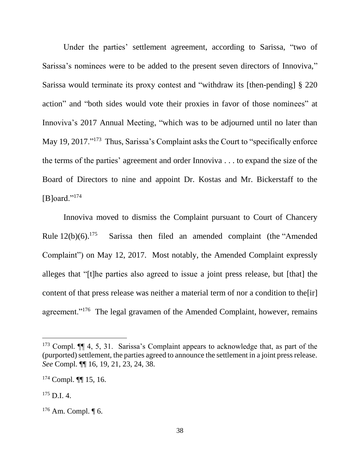Under the parties' settlement agreement, according to Sarissa, "two of Sarissa's nominees were to be added to the present seven directors of Innoviva," Sarissa would terminate its proxy contest and "withdraw its [then-pending] § 220 action" and "both sides would vote their proxies in favor of those nominees" at Innoviva's 2017 Annual Meeting, "which was to be adjourned until no later than May 19, 2017."<sup>173</sup> Thus, Sarissa's Complaint asks the Court to "specifically enforce the terms of the parties' agreement and order Innoviva . . . to expand the size of the Board of Directors to nine and appoint Dr. Kostas and Mr. Bickerstaff to the [B]oard."<sup>174</sup>

Innoviva moved to dismiss the Complaint pursuant to Court of Chancery Rule  $12(b)(6)$ .<sup>175</sup> Sarissa then filed an amended complaint (the "Amended") Complaint") on May 12, 2017. Most notably, the Amended Complaint expressly alleges that "[t]he parties also agreed to issue a joint press release, but [that] the content of that press release was neither a material term of nor a condition to the [ir] agreement."<sup>176</sup> The legal gravamen of the Amended Complaint, however, remains

 $173$  Compl.  $\P\P$  4, 5, 31. Sarissa's Complaint appears to acknowledge that, as part of the (purported) settlement, the parties agreed to announce the settlement in a joint press release. *See* Compl. ¶¶ 16, 19, 21, 23, 24, 38.

<sup>174</sup> Compl. ¶¶ 15, 16.

 $175$  D.I. 4.

 $176$  Am. Compl.  $\P$  6.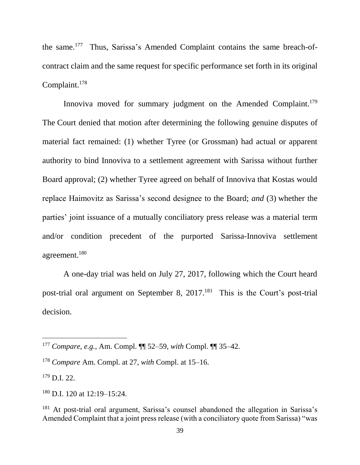the same.<sup>177</sup> Thus, Sarissa's Amended Complaint contains the same breach-ofcontract claim and the same request for specific performance set forth in its original Complaint. 178

Innoviva moved for summary judgment on the Amended Complaint.<sup>179</sup> The Court denied that motion after determining the following genuine disputes of material fact remained: (1) whether Tyree (or Grossman) had actual or apparent authority to bind Innoviva to a settlement agreement with Sarissa without further Board approval; (2) whether Tyree agreed on behalf of Innoviva that Kostas would replace Haimovitz as Sarissa's second designee to the Board; *and* (3) whether the parties' joint issuance of a mutually conciliatory press release was a material term and/or condition precedent of the purported Sarissa-Innoviva settlement agreement.<sup>180</sup>

A one-day trial was held on July 27, 2017, following which the Court heard post-trial oral argument on September 8, 2017.<sup>181</sup> This is the Court's post-trial decision.

<sup>177</sup> *Compare, e.g.*, Am. Compl. ¶¶ 52–59, *with* Compl. ¶¶ 35–42.

<sup>178</sup> *Compare* Am. Compl. at 27, *with* Compl. at 15–16.

 $179$  D.I. 22.

<sup>180</sup> D.I. 120 at 12:19–15:24.

<sup>&</sup>lt;sup>181</sup> At post-trial oral argument, Sarissa's counsel abandoned the allegation in Sarissa's Amended Complaint that a joint press release (with a conciliatory quote from Sarissa) "was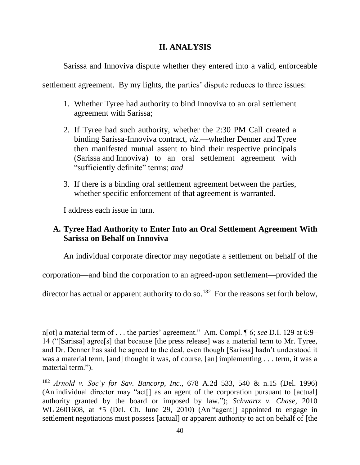### **II. ANALYSIS**

Sarissa and Innoviva dispute whether they entered into a valid, enforceable

settlement agreement. By my lights, the parties' dispute reduces to three issues:

- 1. Whether Tyree had authority to bind Innoviva to an oral settlement agreement with Sarissa;
- 2. If Tyree had such authority, whether the 2:30 PM Call created a binding Sarissa-Innoviva contract, *viz.*—whether Denner and Tyree then manifested mutual assent to bind their respective principals (Sarissa and Innoviva) to an oral settlement agreement with "sufficiently definite" terms; *and*
- 3. If there is a binding oral settlement agreement between the parties, whether specific enforcement of that agreement is warranted.

I address each issue in turn.

 $\overline{a}$ 

# **A. Tyree Had Authority to Enter Into an Oral Settlement Agreement With Sarissa on Behalf on Innoviva**

An individual corporate director may negotiate a settlement on behalf of the

corporation—and bind the corporation to an agreed-upon settlement—provided the

director has actual or apparent authority to do so.<sup>182</sup> For the reasons set forth below,

n[ot] a material term of . . . the parties' agreement." Am. Compl. ¶ 6; *see* D.I. 129 at 6:9– 14 ("[Sarissa] agree[s] that because [the press release] was a material term to Mr. Tyree, and Dr. Denner has said he agreed to the deal, even though [Sarissa] hadn't understood it was a material term, [and] thought it was, of course, [an] implementing . . . term, it was a material term.").

<sup>182</sup> *Arnold v. Soc'y for Sav. Bancorp, Inc.*, 678 A.2d 533, 540 & n.15 (Del. 1996) (An individual director may "act[] as an agent of the corporation pursuant to [actual] authority granted by the board or imposed by law."); *Schwartz v. Chase*, 2010 WL 2601608, at  $*5$  (Del. Ch. June 29, 2010) (An "agent<sup>[]</sup> appointed to engage in settlement negotiations must possess [actual] or apparent authority to act on behalf of [the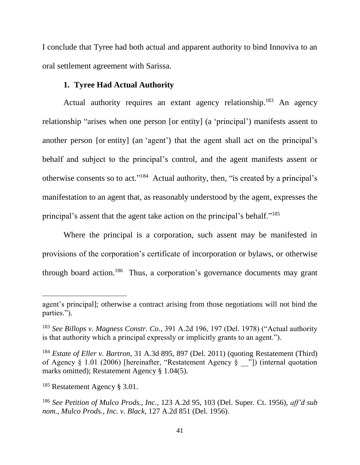I conclude that Tyree had both actual and apparent authority to bind Innoviva to an oral settlement agreement with Sarissa.

## **1. Tyree Had Actual Authority**

Actual authority requires an extant agency relationship.<sup>183</sup> An agency relationship "arises when one person [or entity] (a 'principal') manifests assent to another person [or entity] (an 'agent') that the agent shall act on the principal's behalf and subject to the principal's control, and the agent manifests assent or otherwise consents so to act."<sup>184</sup> Actual authority, then, "is created by a principal's manifestation to an agent that, as reasonably understood by the agent, expresses the principal's assent that the agent take action on the principal's behalf."<sup>185</sup>

Where the principal is a corporation, such assent may be manifested in provisions of the corporation's certificate of incorporation or bylaws, or otherwise through board action.<sup>186</sup> Thus, a corporation's governance documents may grant

agent's principal]; otherwise a contract arising from those negotiations will not bind the parties.").

<sup>183</sup> *See Billops v. Magness Constr. Co.*, 391 A.2d 196, 197 (Del. 1978) ("Actual authority is that authority which a principal expressly or implicitly grants to an agent.").

<sup>184</sup> *Estate of Eller v. Bartron*, 31 A.3d 895, 897 (Del. 2011) (quoting Restatement (Third) of Agency § 1.01 (2006) [hereinafter, "Restatement Agency § \_\_"]) (internal quotation marks omitted); Restatement Agency § 1.04(5).

<sup>185</sup> Restatement Agency § 3.01.

<sup>186</sup> *See Petition of Mulco Prods., Inc.*, 123 A.2d 95, 103 (Del. Super. Ct. 1956), *aff'd sub nom., Mulco Prods., Inc. v. Black*, 127 A.2d 851 (Del. 1956).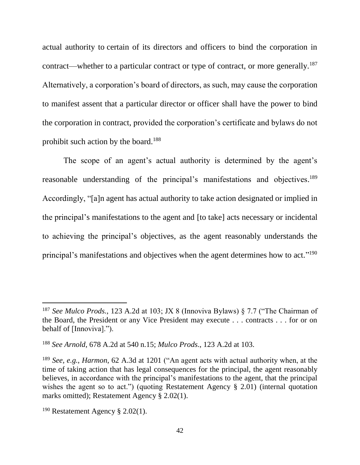actual authority to certain of its directors and officers to bind the corporation in contract—whether to a particular contract or type of contract, or more generally.<sup>187</sup> Alternatively, a corporation's board of directors, as such, may cause the corporation to manifest assent that a particular director or officer shall have the power to bind the corporation in contract, provided the corporation's certificate and bylaws do not prohibit such action by the board.<sup>188</sup>

The scope of an agent's actual authority is determined by the agent's reasonable understanding of the principal's manifestations and objectives.<sup>189</sup> Accordingly, "[a]n agent has actual authority to take action designated or implied in the principal's manifestations to the agent and [to take] acts necessary or incidental to achieving the principal's objectives, as the agent reasonably understands the principal's manifestations and objectives when the agent determines how to act."<sup>190</sup>

<sup>187</sup> *See Mulco Prods.*, 123 A.2d at 103; JX 8 (Innoviva Bylaws) § 7.7 ("The Chairman of the Board, the President or any Vice President may execute . . . contracts . . . for or on behalf of [Innoviva].").

<sup>188</sup> *See Arnold*, 678 A.2d at 540 n.15; *Mulco Prods*., 123 A.2d at 103.

<sup>189</sup> *See, e.g.*, *Harmon*, 62 A.3d at 1201 ("An agent acts with actual authority when, at the time of taking action that has legal consequences for the principal, the agent reasonably believes, in accordance with the principal's manifestations to the agent, that the principal wishes the agent so to act.") (quoting Restatement Agency § 2.01) (internal quotation marks omitted); Restatement Agency § 2.02(1).

<sup>&</sup>lt;sup>190</sup> Restatement Agency § 2.02(1).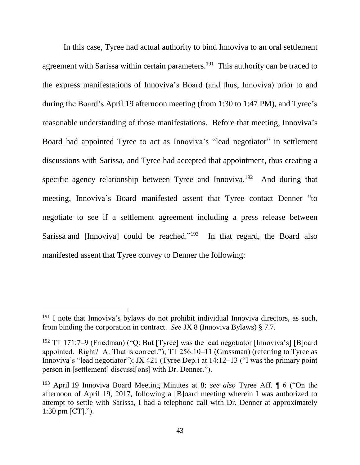In this case, Tyree had actual authority to bind Innoviva to an oral settlement agreement with Sarissa within certain parameters.<sup>191</sup> This authority can be traced to the express manifestations of Innoviva's Board (and thus, Innoviva) prior to and during the Board's April 19 afternoon meeting (from 1:30 to 1:47 PM), and Tyree's reasonable understanding of those manifestations. Before that meeting, Innoviva's Board had appointed Tyree to act as Innoviva's "lead negotiator" in settlement discussions with Sarissa, and Tyree had accepted that appointment, thus creating a specific agency relationship between Tyree and Innoviva.<sup>192</sup> And during that meeting, Innoviva's Board manifested assent that Tyree contact Denner "to negotiate to see if a settlement agreement including a press release between Sarissa and [Innoviva] could be reached."<sup>193</sup> In that regard, the Board also manifested assent that Tyree convey to Denner the following:

 $191$  I note that Innoviva's bylaws do not prohibit individual Innoviva directors, as such, from binding the corporation in contract. *See* JX 8 (Innoviva Bylaws) § 7.7.

<sup>&</sup>lt;sup>192</sup> TT 171:7–9 (Friedman) ("O: But [Tyree] was the lead negotiator [Innoviva's] [B]oard appointed. Right? A: That is correct."); TT 256:10–11 (Grossman) (referring to Tyree as Innoviva's "lead negotiator"); JX 421 (Tyree Dep.) at 14:12–13 ("I was the primary point person in [settlement] discussi[ons] with Dr. Denner.").

<sup>193</sup> April 19 Innoviva Board Meeting Minutes at 8; *see also* Tyree Aff. ¶ 6 ("On the afternoon of April 19, 2017, following a [B]oard meeting wherein I was authorized to attempt to settle with Sarissa, I had a telephone call with Dr. Denner at approximately 1:30 pm [CT].").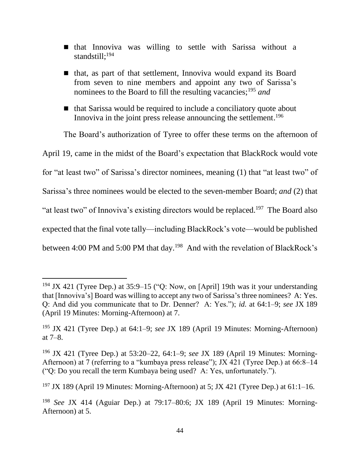- that Innoviva was willing to settle with Sarissa without a standstill; 194
- that, as part of that settlement, Innoviva would expand its Board from seven to nine members and appoint any two of Sarissa's nominees to the Board to fill the resulting vacancies;<sup>195</sup> *and*
- $\blacksquare$  that Sarissa would be required to include a conciliatory quote about Innoviva in the joint press release announcing the settlement.<sup>196</sup>

The Board's authorization of Tyree to offer these terms on the afternoon of April 19, came in the midst of the Board's expectation that BlackRock would vote for "at least two" of Sarissa's director nominees, meaning (1) that "at least two" of Sarissa's three nominees would be elected to the seven-member Board; *and* (2) that "at least two" of Innoviva's existing directors would be replaced.<sup>197</sup> The Board also expected that the final vote tally—including BlackRock's vote—would be published between 4:00 PM and 5:00 PM that day.<sup>198</sup> And with the revelation of BlackRock's

 $194$  JX 421 (Tyree Dep.) at 35:9–15 ("Q: Now, on [April] 19th was it your understanding that [Innoviva's] Board was willing to accept any two of Sarissa's three nominees? A: Yes. Q: And did you communicate that to Dr. Denner? A: Yes."); *id.* at 64:1–9; *see* JX 189 (April 19 Minutes: Morning-Afternoon) at 7.

<sup>195</sup> JX 421 (Tyree Dep.) at 64:1–9; *see* JX 189 (April 19 Minutes: Morning-Afternoon) at 7–8.

<sup>196</sup> JX 421 (Tyree Dep.) at 53:20–22, 64:1–9; *see* JX 189 (April 19 Minutes: Morning-Afternoon) at 7 (referring to a "kumbaya press release"); JX 421 (Tyree Dep.) at 66:8–14 ("Q: Do you recall the term Kumbaya being used? A: Yes, unfortunately.").

<sup>&</sup>lt;sup>197</sup> JX 189 (April 19 Minutes: Morning-Afternoon) at 5; JX 421 (Tyree Dep.) at  $61:1-16$ .

<sup>198</sup> *See* JX 414 (Aguiar Dep.) at 79:17–80:6; JX 189 (April 19 Minutes: Morning-Afternoon) at 5.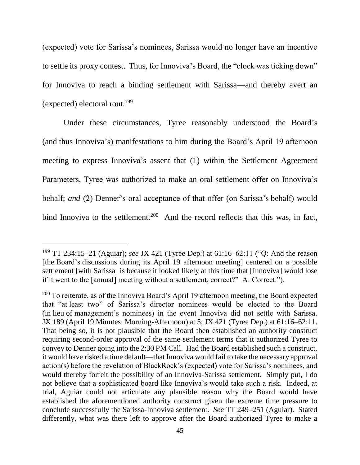(expected) vote for Sarissa's nominees, Sarissa would no longer have an incentive to settle its proxy contest. Thus, for Innoviva's Board, the "clock was ticking down" for Innoviva to reach a binding settlement with Sarissa—and thereby avert an (expected) electoral rout.<sup>199</sup>

Under these circumstances, Tyree reasonably understood the Board's (and thus Innoviva's) manifestations to him during the Board's April 19 afternoon meeting to express Innoviva's assent that (1) within the Settlement Agreement Parameters, Tyree was authorized to make an oral settlement offer on Innoviva's behalf; *and* (2) Denner's oral acceptance of that offer (on Sarissa's behalf) would bind Innoviva to the settlement.<sup>200</sup> And the record reflects that this was, in fact,

<sup>199</sup> TT 234:15–21 (Aguiar); *see* JX 421 (Tyree Dep.) at 61:16–62:11 ("Q: And the reason [the Board's discussions during its April 19 afternoon meeting] centered on a possible settlement [with Sarissa] is because it looked likely at this time that [Innoviva] would lose if it went to the [annual] meeting without a settlement, correct?" A: Correct.").

 $200$  To reiterate, as of the Innoviva Board's April 19 afternoon meeting, the Board expected that "at least two" of Sarissa's director nominees would be elected to the Board (in lieu of management's nominees) in the event Innoviva did not settle with Sarissa. JX 189 (April 19 Minutes: Morning-Afternoon) at 5; JX 421 (Tyree Dep.) at 61:16–62:11. That being so, it is not plausible that the Board then established an authority construct requiring second-order approval of the same settlement terms that it authorized Tyree to convey to Denner going into the 2:30 PM Call. Had the Board established such a construct, it would have risked a time default—that Innoviva would fail to take the necessary approval action(s) before the revelation of BlackRock's (expected) vote for Sarissa's nominees, and would thereby forfeit the possibility of an Innoviva-Sarissa settlement. Simply put, I do not believe that a sophisticated board like Innoviva's would take such a risk. Indeed, at trial, Aguiar could not articulate any plausible reason why the Board would have established the aforementioned authority construct given the extreme time pressure to conclude successfully the Sarissa-Innoviva settlement. *See* TT 249–251 (Aguiar). Stated differently, what was there left to approve after the Board authorized Tyree to make a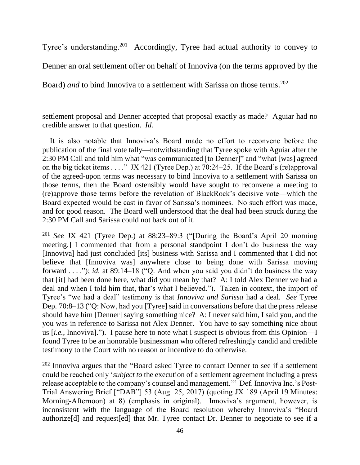Tyree's understanding.<sup>201</sup> Accordingly, Tyree had actual authority to convey to Denner an oral settlement offer on behalf of Innoviva (on the terms approved by the Board) *and* to bind Innoviva to a settlement with Sarissa on those terms. 202

<sup>201</sup> *See* JX 421 (Tyree Dep.) at 88:23–89:3 ("[During the Board's April 20 morning meeting,] I commented that from a personal standpoint I don't do business the way [Innoviva] had just concluded [its] business with Sarissa and I commented that I did not believe that [Innoviva was] anywhere close to being done with Sarissa moving forward . . . ."); *id.* at 89:14–18 ("Q: And when you said you didn't do business the way that [it] had been done here, what did you mean by that? A: I told Alex Denner we had a deal and when I told him that, that's what I believed."). Taken in context, the import of Tyree's "we had a deal" testimony is that *Innoviva and Sarissa* had a deal. *See* Tyree Dep. 70:8–13 ("Q: Now, had you [Tyree] said in conversations before that the press release should have him [Denner] saying something nice? A: I never said him, I said you, and the you was in reference to Sarissa not Alex Denner. You have to say something nice about us [*i.e.*, Innoviva]."). I pause here to note what I suspect is obvious from this Opinion—I found Tyree to be an honorable businessman who offered refreshingly candid and credible testimony to the Court with no reason or incentive to do otherwise.

 $202$  Innoviva argues that the "Board asked Tyree to contact Denner to see if a settlement could be reached only '*subject to* the execution of a settlement agreement including a press release acceptable to the company's counsel and management.'" Def. Innoviva Inc.'s Post-Trial Answering Brief ["DAB"] 53 (Aug. 25, 2017) (quoting JX 189 (April 19 Minutes: Morning-Afternoon) at 8) (emphasis in original). Innoviva's argument, however, is inconsistent with the language of the Board resolution whereby Innoviva's "Board authorize[d] and request[ed] that Mr. Tyree contact Dr. Denner to negotiate to see if a

 $\overline{a}$ 

settlement proposal and Denner accepted that proposal exactly as made? Aguiar had no credible answer to that question. *Id.* 

It is also notable that Innoviva's Board made no effort to reconvene before the publication of the final vote tally—notwithstanding that Tyree spoke with Aguiar after the 2:30 PM Call and told him what "was communicated [to Denner]" and "what [was] agreed on the big ticket items . . . ." JX 421 (Tyree Dep.) at 70:24–25. If the Board's (re)approval of the agreed-upon terms was necessary to bind Innoviva to a settlement with Sarissa on those terms, then the Board ostensibly would have sought to reconvene a meeting to (re)approve those terms before the revelation of BlackRock's decisive vote—which the Board expected would be cast in favor of Sarissa's nominees. No such effort was made, and for good reason. The Board well understood that the deal had been struck during the 2:30 PM Call and Sarissa could not back out of it.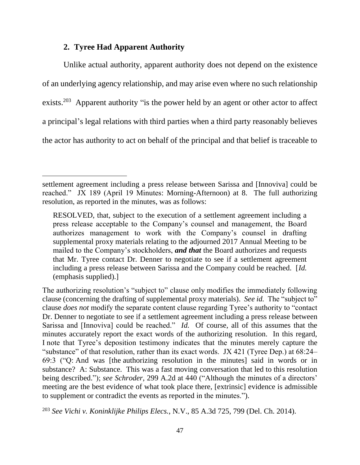#### **2. Tyree Had Apparent Authority**

l

Unlike actual authority, apparent authority does not depend on the existence of an underlying agency relationship, and may arise even where no such relationship exists.<sup>203</sup> Apparent authority "is the power held by an agent or other actor to affect a principal's legal relations with third parties when a third party reasonably believes the actor has authority to act on behalf of the principal and that belief is traceable to

settlement agreement including a press release between Sarissa and [Innoviva] could be reached." JX 189 (April 19 Minutes: Morning-Afternoon) at 8. The full authorizing resolution, as reported in the minutes, was as follows:

RESOLVED, that, subject to the execution of a settlement agreement including a press release acceptable to the Company's counsel and management, the Board authorizes management to work with the Company's counsel in drafting supplemental proxy materials relating to the adjourned 2017 Annual Meeting to be mailed to the Company's stockholders, *and that* the Board authorizes and requests that Mr. Tyree contact Dr. Denner to negotiate to see if a settlement agreement including a press release between Sarissa and the Company could be reached. [*Id.* (emphasis supplied).]

The authorizing resolution's "subject to" clause only modifies the immediately following clause (concerning the drafting of supplemental proxy materials). *See id.* The "subject to" clause *does not* modify the separate content clause regarding Tyree's authority to "contact Dr. Denner to negotiate to see if a settlement agreement including a press release between Sarissa and [Innoviva] could be reached." *Id.* Of course, all of this assumes that the minutes accurately report the exact words of the authorizing resolution. In this regard, I note that Tyree's deposition testimony indicates that the minutes merely capture the "substance" of that resolution, rather than its exact words. JX 421 (Tyree Dep.) at 68:24– 69:3 ("Q: And was [the authorizing resolution in the minutes] said in words or in substance? A: Substance. This was a fast moving conversation that led to this resolution being described."); *see Schroder*, 299 A.2d at 440 ("Although the minutes of a directors' meeting are the best evidence of what took place there, [extrinsic] evidence is admissible to supplement or contradict the events as reported in the minutes.").

<sup>203</sup> *See Vichi v. Koninklijke Philips Elecs.*, N.V., 85 A.3d 725, 799 (Del. Ch. 2014).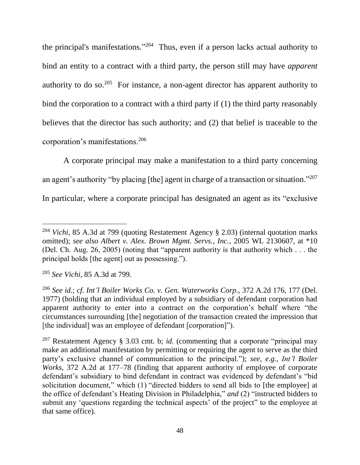the principal's manifestations."<sup>204</sup> Thus, even if a person lacks actual authority to bind an entity to a contract with a third party, the person still may have *apparent* authority to do so.<sup>205</sup> For instance, a non-agent director has apparent authority to bind the corporation to a contract with a third party if (1) the third party reasonably believes that the director has such authority; and (2) that belief is traceable to the corporation's manifestations.<sup>206</sup>

A corporate principal may make a manifestation to a third party concerning an agent's authority "by placing [the] agent in charge of a transaction or situation."<sup>207</sup> In particular, where a corporate principal has designated an agent as its "exclusive

<sup>204</sup> *Vichi*, 85 A.3d at 799 (quoting Restatement Agency § 2.03) (internal quotation marks omitted); *see also Albert v. Alex. Brown Mgmt. Servs., Inc.*, 2005 WL 2130607, at \*10 (Del. Ch. Aug. 26, 2005) (noting that "apparent authority is that authority which . . . the principal holds [the agent] out as possessing.").

<sup>205</sup> *See Vichi*, 85 A.3d at 799.

<sup>206</sup> *See id.*; *cf. Int'l Boiler Works Co. v. Gen. Waterworks Corp.*, 372 A.2d 176, 177 (Del. 1977) (holding that an individual employed by a subsidiary of defendant corporation had apparent authority to enter into a contract on the corporation's behalf where "the circumstances surrounding [the] negotiation of the transaction created the impression that [the individual] was an employee of defendant [corporation]").

<sup>207</sup> Restatement Agency § 3.03 cmt. b; *id.* (commenting that a corporate "principal may make an additional manifestation by permitting or requiring the agent to serve as the third party's exclusive channel of communication to the principal."); *see, e.g.*, *Int'l Boiler Works*, 372 A.2d at 177–78 (finding that apparent authority of employee of corporate defendant's subsidiary to bind defendant in contract was evidenced by defendant's "bid solicitation document," which (1) "directed bidders to send all bids to [the employee] at the office of defendant's Heating Division in Philadelphia," *and* (2) "instructed bidders to submit any 'questions regarding the technical aspects' of the project" to the employee at that same office).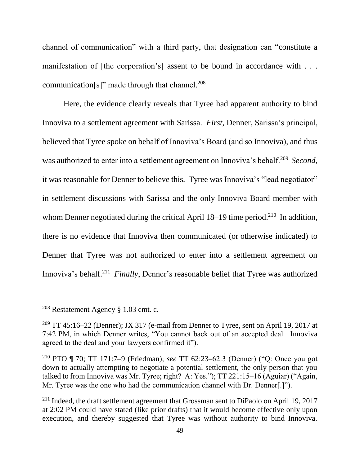channel of communication" with a third party, that designation can "constitute a manifestation of [the corporation's] assent to be bound in accordance with . . . communication[s]" made through that channel. $208$ 

Here, the evidence clearly reveals that Tyree had apparent authority to bind Innoviva to a settlement agreement with Sarissa. *First*, Denner, Sarissa's principal, believed that Tyree spoke on behalf of Innoviva's Board (and so Innoviva), and thus was authorized to enter into a settlement agreement on Innoviva's behalf.<sup>209</sup> Second, it was reasonable for Denner to believe this. Tyree was Innoviva's "lead negotiator" in settlement discussions with Sarissa and the only Innoviva Board member with whom Denner negotiated during the critical April  $18-19$  time period.<sup>210</sup> In addition, there is no evidence that Innoviva then communicated (or otherwise indicated) to Denner that Tyree was not authorized to enter into a settlement agreement on Innoviva's behalf.<sup>211</sup> Finally, Denner's reasonable belief that Tyree was authorized

<sup>208</sup> Restatement Agency § 1.03 cmt. c.

<sup>&</sup>lt;sup>209</sup> TT 45:16–22 (Denner); JX 317 (e-mail from Denner to Tyree, sent on April 19, 2017 at 7:42 PM, in which Denner writes, "You cannot back out of an accepted deal. Innoviva agreed to the deal and your lawyers confirmed it").

<sup>210</sup> PTO ¶ 70; TT 171:7–9 (Friedman); *see* TT 62:23–62:3 (Denner) ("Q: Once you got down to actually attempting to negotiate a potential settlement, the only person that you talked to from Innoviva was Mr. Tyree; right? A: Yes."); TT 221:15–16 (Aguiar) ("Again, Mr. Tyree was the one who had the communication channel with Dr. Denner[.]").

<sup>&</sup>lt;sup>211</sup> Indeed, the draft settlement agreement that Grossman sent to DiPaolo on April 19, 2017 at 2:02 PM could have stated (like prior drafts) that it would become effective only upon execution, and thereby suggested that Tyree was without authority to bind Innoviva.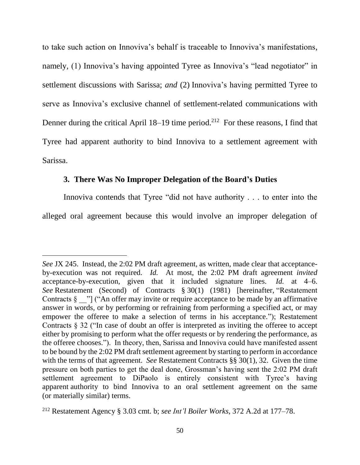to take such action on Innoviva's behalf is traceable to Innoviva's manifestations, namely, (1) Innoviva's having appointed Tyree as Innoviva's "lead negotiator" in settlement discussions with Sarissa; *and* (2) Innoviva's having permitted Tyree to serve as Innoviva's exclusive channel of settlement-related communications with Denner during the critical April 18–19 time period.<sup>212</sup> For these reasons, I find that Tyree had apparent authority to bind Innoviva to a settlement agreement with Sarissa.

#### **3. There Was No Improper Delegation of the Board's Duties**

 $\overline{a}$ 

Innoviva contends that Tyree "did not have authority . . . to enter into the alleged oral agreement because this would involve an improper delegation of

*See* JX 245. Instead, the 2:02 PM draft agreement, as written, made clear that acceptanceby-execution was not required. *Id.* At most, the 2:02 PM draft agreement *invited* acceptance-by-execution, given that it included signature lines. *Id.* at 4–6. *See* Restatement (Second) of Contracts § 30(1) (1981) [hereinafter, "Restatement Contracts  $\S$  "] ("An offer may invite or require acceptance to be made by an affirmative answer in words, or by performing or refraining from performing a specified act, or may empower the offeree to make a selection of terms in his acceptance."); Restatement Contracts § 32 ("In case of doubt an offer is interpreted as inviting the offeree to accept either by promising to perform what the offer requests or by rendering the performance, as the offeree chooses."). In theory, then, Sarissa and Innoviva could have manifested assent to be bound by the 2:02 PM draft settlement agreement by starting to perform in accordance with the terms of that agreement. *See* Restatement Contracts §§ 30(1), 32. Given the time pressure on both parties to get the deal done, Grossman's having sent the 2:02 PM draft settlement agreement to DiPaolo is entirely consistent with Tyree's having apparent authority to bind Innoviva to an oral settlement agreement on the same (or materially similar) terms.

<sup>212</sup> Restatement Agency § 3.03 cmt. b; *see Int'l Boiler Works*, 372 A.2d at 177–78.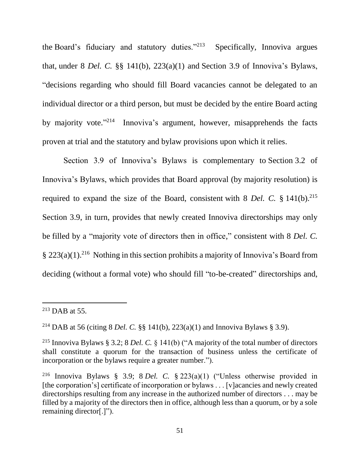the Board's fiduciary and statutory duties."<sup>213</sup> Specifically, Innoviva argues that, under 8 *Del. C.* §§ 141(b), 223(a)(1) and Section 3.9 of Innoviva's Bylaws, "decisions regarding who should fill Board vacancies cannot be delegated to an individual director or a third person, but must be decided by the entire Board acting by majority vote."<sup>214</sup> Innoviva's argument, however, misapprehends the facts proven at trial and the statutory and bylaw provisions upon which it relies.

Section 3.9 of Innoviva's Bylaws is complementary to Section 3.2 of Innoviva's Bylaws, which provides that Board approval (by majority resolution) is required to expand the size of the Board, consistent with 8 *Del. C.* § 141(b). 215 Section 3.9, in turn, provides that newly created Innoviva directorships may only be filled by a "majority vote of directors then in office," consistent with 8 *Del. C.*  § 223(a)(1).<sup>216</sup> Nothing in this section prohibits a majority of Innoviva's Board from deciding (without a formal vote) who should fill "to-be-created" directorships and,

 $213$  DAB at 55.

<sup>214</sup> DAB at 56 (citing 8 *Del. C.* §§ 141(b), 223(a)(1) and Innoviva Bylaws § 3.9).

<sup>215</sup> Innoviva Bylaws § 3.2; 8 *Del. C.* § 141(b) ("A majority of the total number of directors shall constitute a quorum for the transaction of business unless the certificate of incorporation or the bylaws require a greater number.").

<sup>216</sup> Innoviva Bylaws § 3.9; 8 *Del. C.* § 223(a)(1) ("Unless otherwise provided in [the corporation's] certificate of incorporation or bylaws . . . [v]acancies and newly created directorships resulting from any increase in the authorized number of directors . . . may be filled by a majority of the directors then in office, although less than a quorum, or by a sole remaining director[.]").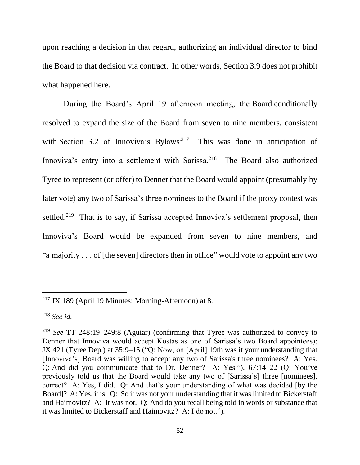upon reaching a decision in that regard, authorizing an individual director to bind the Board to that decision via contract. In other words, Section 3.9 does not prohibit what happened here.

During the Board's April 19 afternoon meeting, the Board conditionally resolved to expand the size of the Board from seven to nine members, consistent with Section 3.2 of Innoviva's Bylaws<sup>.217</sup> This was done in anticipation of Innoviva's entry into a settlement with Sarissa.<sup>218</sup> The Board also authorized Tyree to represent (or offer) to Denner that the Board would appoint (presumably by later vote) any two of Sarissa's three nominees to the Board if the proxy contest was settled.<sup>219</sup> That is to say, if Sarissa accepted Innoviva's settlement proposal, then Innoviva's Board would be expanded from seven to nine members, and "a majority . . . of [the seven] directors then in office" would vote to appoint any two

 $217$  JX 189 (April 19 Minutes: Morning-Afternoon) at 8.

<sup>218</sup> *See id.*

<sup>219</sup> *See* TT 248:19–249:8 (Aguiar) (confirming that Tyree was authorized to convey to Denner that Innoviva would accept Kostas as one of Sarissa's two Board appointees); JX 421 (Tyree Dep.) at 35:9–15 ("Q: Now, on [April] 19th was it your understanding that [Innoviva's] Board was willing to accept any two of Sarissa's three nominees? A: Yes. Q: And did you communicate that to Dr. Denner? A: Yes."), 67:14–22 (Q: You've previously told us that the Board would take any two of [Sarissa's] three [nominees], correct? A: Yes, I did. Q: And that's your understanding of what was decided [by the Board]? A: Yes, it is. Q: So it was not your understanding that it was limited to Bickerstaff and Haimovitz? A: It was not. Q: And do you recall being told in words or substance that it was limited to Bickerstaff and Haimovitz? A: I do not.").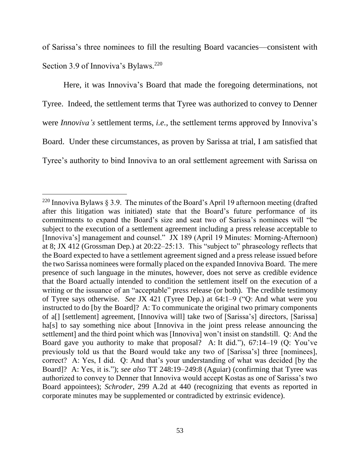of Sarissa's three nominees to fill the resulting Board vacancies—consistent with Section 3.9 of Innoviva's Bylaws.<sup>220</sup>

Here, it was Innoviva's Board that made the foregoing determinations, not Tyree. Indeed, the settlement terms that Tyree was authorized to convey to Denner were *Innoviva's* settlement terms, *i.e.*, the settlement terms approved by Innoviva's Board. Under these circumstances, as proven by Sarissa at trial, I am satisfied that Tyree's authority to bind Innoviva to an oral settlement agreement with Sarissa on

<sup>&</sup>lt;sup>220</sup> Innoviva Bylaws § 3.9. The minutes of the Board's April 19 afternoon meeting (drafted after this litigation was initiated) state that the Board's future performance of its commitments to expand the Board's size and seat two of Sarissa's nominees will "be subject to the execution of a settlement agreement including a press release acceptable to [Innoviva's] management and counsel." JX 189 (April 19 Minutes: Morning-Afternoon) at 8; JX 412 (Grossman Dep.) at 20:22–25:13. This "subject to" phraseology reflects that the Board expected to have a settlement agreement signed and a press release issued before the two Sarissa nominees were formally placed on the expanded Innoviva Board. The mere presence of such language in the minutes, however, does not serve as credible evidence that the Board actually intended to condition the settlement itself on the execution of a writing or the issuance of an "acceptable" press release (or both). The credible testimony of Tyree says otherwise. *See* JX 421 (Tyree Dep.) at 64:1–9 ("Q: And what were you instructed to do [by the Board]? A: To communicate the original two primary components of a[] [settlement] agreement, [Innoviva will] take two of [Sarissa's] directors, [Sarissa] ha<sup>[s]</sup> to say something nice about [Innoviva in the joint press release announcing the settlement] and the third point which was [Innoviva] won't insist on standstill. Q: And the Board gave you authority to make that proposal? A: It did."), 67:14–19 (Q: You've previously told us that the Board would take any two of [Sarissa's] three [nominees], correct? A: Yes, I did. Q: And that's your understanding of what was decided [by the Board]? A: Yes, it is."); *see also* TT 248:19–249:8 (Aguiar) (confirming that Tyree was authorized to convey to Denner that Innoviva would accept Kostas as one of Sarissa's two Board appointees); *Schroder*, 299 A.2d at 440 (recognizing that events as reported in corporate minutes may be supplemented or contradicted by extrinsic evidence).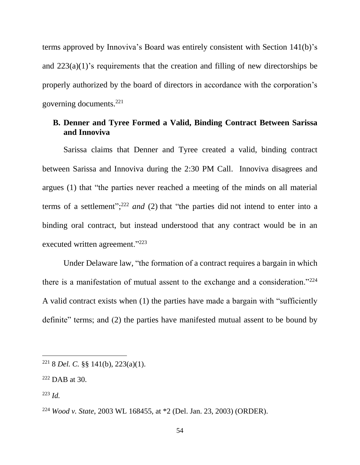terms approved by Innoviva's Board was entirely consistent with Section 141(b)'s and 223(a)(1)'s requirements that the creation and filling of new directorships be properly authorized by the board of directors in accordance with the corporation's governing documents.<sup>221</sup>

### **B. Denner and Tyree Formed a Valid, Binding Contract Between Sarissa and Innoviva**

Sarissa claims that Denner and Tyree created a valid, binding contract between Sarissa and Innoviva during the 2:30 PM Call. Innoviva disagrees and argues (1) that "the parties never reached a meeting of the minds on all material terms of a settlement"; <sup>222</sup> *and* (2) that "the parties did not intend to enter into a binding oral contract, but instead understood that any contract would be in an executed written agreement."<sup>223</sup>

Under Delaware law, "the formation of a contract requires a bargain in which there is a manifestation of mutual assent to the exchange and a consideration."<sup>224</sup> A valid contract exists when (1) the parties have made a bargain with "sufficiently definite" terms; and (2) the parties have manifested mutual assent to be bound by

<sup>223</sup> *Id.*

<sup>221</sup> 8 *Del. C.* §§ 141(b), 223(a)(1).

 $222$  DAB at 30.

<sup>224</sup> *Wood v. State*, 2003 WL 168455, at \*2 (Del. Jan. 23, 2003) (ORDER).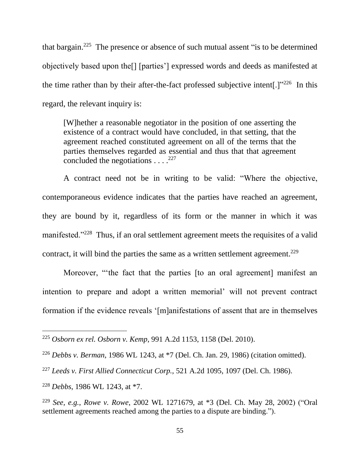that bargain.<sup>225</sup> The presence or absence of such mutual assent "is to be determined objectively based upon the[] [parties'] expressed words and deeds as manifested at the time rather than by their after-the-fact professed subjective intent[.] $v^{226}$  In this regard, the relevant inquiry is:

[W]hether a reasonable negotiator in the position of one asserting the existence of a contract would have concluded, in that setting, that the agreement reached constituted agreement on all of the terms that the parties themselves regarded as essential and thus that that agreement concluded the negotiations  $\ldots$ <sup>227</sup>

A contract need not be in writing to be valid: "Where the objective, contemporaneous evidence indicates that the parties have reached an agreement, they are bound by it, regardless of its form or the manner in which it was manifested."<sup>228</sup> Thus, if an oral settlement agreement meets the requisites of a valid contract, it will bind the parties the same as a written settlement agreement.<sup>229</sup>

Moreover, "'the fact that the parties [to an oral agreement] manifest an intention to prepare and adopt a written memorial' will not prevent contract formation if the evidence reveals '[m]anifestations of assent that are in themselves

<sup>228</sup> *Debbs*, 1986 WL 1243, at \*7.

<sup>225</sup> *Osborn ex rel. Osborn v. Kemp*, 991 A.2d 1153, 1158 (Del. 2010).

<sup>226</sup> *Debbs v. Berman*, 1986 WL 1243, at \*7 (Del. Ch. Jan. 29, 1986) (citation omitted).

<sup>227</sup> *Leeds v. First Allied Connecticut Corp.*, 521 A.2d 1095, 1097 (Del. Ch. 1986).

<sup>229</sup> *See, e.g.*, *Rowe v. Rowe*, 2002 WL 1271679, at \*3 (Del. Ch. May 28, 2002) ("Oral settlement agreements reached among the parties to a dispute are binding.").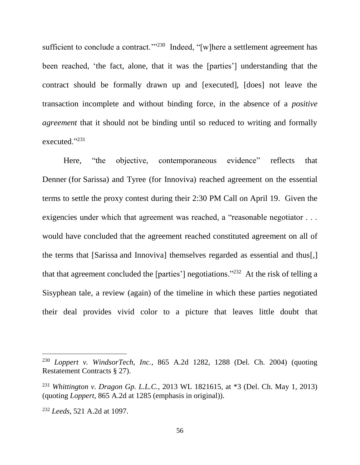sufficient to conclude a contract. $1^{1/230}$  Indeed, "[w]here a settlement agreement has been reached, 'the fact, alone, that it was the [parties'] understanding that the contract should be formally drawn up and [executed], [does] not leave the transaction incomplete and without binding force, in the absence of a *positive agreement* that it should not be binding until so reduced to writing and formally executed."<sup>231</sup>

Here, "the objective, contemporaneous evidence" reflects that Denner (for Sarissa) and Tyree (for Innoviva) reached agreement on the essential terms to settle the proxy contest during their 2:30 PM Call on April 19. Given the exigencies under which that agreement was reached, a "reasonable negotiator . . . would have concluded that the agreement reached constituted agreement on all of the terms that [Sarissa and Innoviva] themselves regarded as essential and thus[,] that that agreement concluded the [parties'] negotiations."<sup>232</sup> At the risk of telling a Sisyphean tale, a review (again) of the timeline in which these parties negotiated their deal provides vivid color to a picture that leaves little doubt that

<sup>230</sup> *Loppert v. WindsorTech, Inc.*, 865 A.2d 1282, 1288 (Del. Ch. 2004) (quoting Restatement Contracts § 27).

<sup>231</sup> *Whittington v. Dragon Gp. L.L.C.*, 2013 WL 1821615, at \*3 (Del. Ch. May 1, 2013) (quoting *Loppert*, 865 A.2d at 1285 (emphasis in original)).

<sup>232</sup> *Leeds*, 521 A.2d at 1097.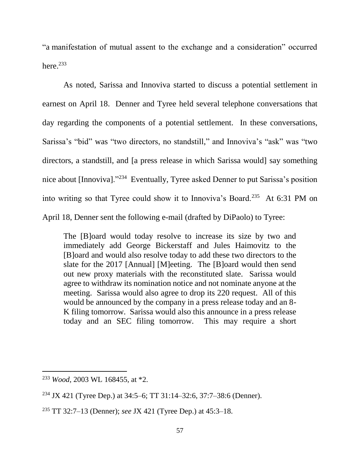"a manifestation of mutual assent to the exchange and a consideration" occurred here. $^{233}$ 

As noted, Sarissa and Innoviva started to discuss a potential settlement in earnest on April 18. Denner and Tyree held several telephone conversations that day regarding the components of a potential settlement. In these conversations, Sarissa's "bid" was "two directors, no standstill," and Innoviva's "ask" was "two directors, a standstill, and [a press release in which Sarissa would] say something nice about [Innoviva]."<sup>234</sup> Eventually, Tyree asked Denner to put Sarissa's position into writing so that Tyree could show it to Innoviva's Board.<sup>235</sup> At 6:31 PM on April 18, Denner sent the following e-mail (drafted by DiPaolo) to Tyree:

The [B]oard would today resolve to increase its size by two and immediately add George Bickerstaff and Jules Haimovitz to the [B]oard and would also resolve today to add these two directors to the slate for the 2017 [Annual] [M]eeting. The [B]oard would then send out new proxy materials with the reconstituted slate. Sarissa would agree to withdraw its nomination notice and not nominate anyone at the meeting. Sarissa would also agree to drop its 220 request. All of this would be announced by the company in a press release today and an 8- K filing tomorrow. Sarissa would also this announce in a press release today and an SEC filing tomorrow. This may require a short

<sup>233</sup> *Wood,* 2003 WL 168455, at \*2.

<sup>234</sup> JX 421 (Tyree Dep.) at 34:5–6; TT 31:14–32:6, 37:7–38:6 (Denner).

<sup>235</sup> TT 32:7–13 (Denner); *see* JX 421 (Tyree Dep.) at 45:3–18.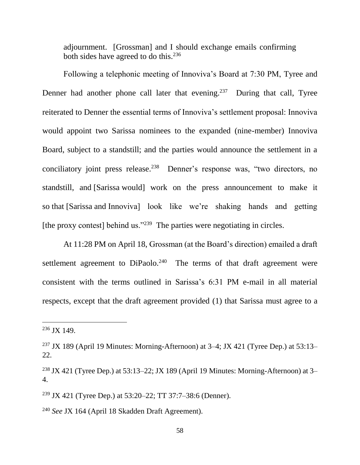adjournment. [Grossman] and I should exchange emails confirming both sides have agreed to do this.<sup>236</sup>

Following a telephonic meeting of Innoviva's Board at 7:30 PM, Tyree and Denner had another phone call later that evening.<sup>237</sup> During that call, Tyree reiterated to Denner the essential terms of Innoviva's settlement proposal: Innoviva would appoint two Sarissa nominees to the expanded (nine-member) Innoviva Board, subject to a standstill; and the parties would announce the settlement in a conciliatory joint press release.<sup>238</sup> Denner's response was, "two directors, no standstill, and [Sarissa would] work on the press announcement to make it so that [Sarissa and Innoviva] look like we're shaking hands and getting [the proxy contest] behind us."<sup>239</sup> The parties were negotiating in circles.

At 11:28 PM on April 18, Grossman (at the Board's direction) emailed a draft settlement agreement to  $DiPaolo.<sup>240</sup>$  The terms of that draft agreement were consistent with the terms outlined in Sarissa's 6:31 PM e-mail in all material respects, except that the draft agreement provided (1) that Sarissa must agree to a

<sup>236</sup> JX 149.

<sup>&</sup>lt;sup>237</sup> JX 189 (April 19 Minutes: Morning-Afternoon) at  $3-4$ ; JX 421 (Tyree Dep.) at  $53:13-$ 22.

<sup>&</sup>lt;sup>238</sup> JX 421 (Tyree Dep.) at 53:13–22; JX 189 (April 19 Minutes: Morning-Afternoon) at 3– 4.

<sup>239</sup> JX 421 (Tyree Dep.) at 53:20–22; TT 37:7–38:6 (Denner).

<sup>240</sup> *See* JX 164 (April 18 Skadden Draft Agreement).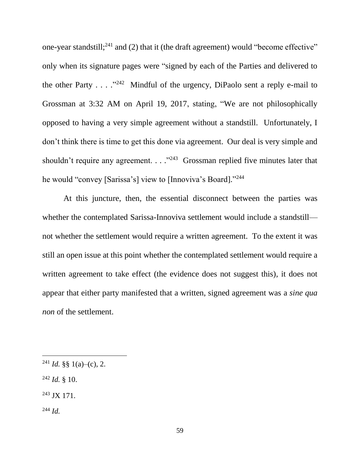one-year standstill;<sup>241</sup> and (2) that it (the draft agreement) would "become effective" only when its signature pages were "signed by each of the Parties and delivered to the other Party  $\ldots$  ."<sup>242</sup> Mindful of the urgency, DiPaolo sent a reply e-mail to Grossman at 3:32 AM on April 19, 2017, stating, "We are not philosophically opposed to having a very simple agreement without a standstill. Unfortunately, I don't think there is time to get this done via agreement. Our deal is very simple and shouldn't require any agreement.  $\ldots$ <sup>243</sup> Grossman replied five minutes later that he would "convey [Sarissa's] view to [Innoviva's Board]."244

At this juncture, then, the essential disconnect between the parties was whether the contemplated Sarissa-Innoviva settlement would include a standstill not whether the settlement would require a written agreement. To the extent it was still an open issue at this point whether the contemplated settlement would require a written agreement to take effect (the evidence does not suggest this), it does not appear that either party manifested that a written, signed agreement was a *sine qua non* of the settlement.

 $^{242}$  *Id.* § 10.

<sup>243</sup> JX 171.

<sup>244</sup> *Id.*

<sup>&</sup>lt;sup>241</sup> *Id.* §§ 1(a)–(c), 2.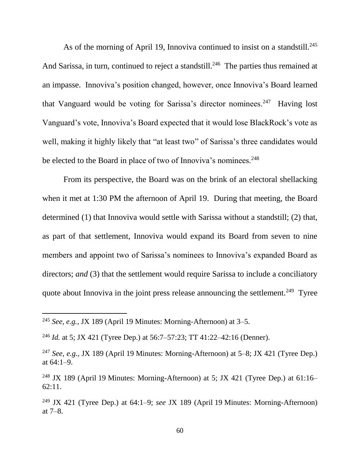As of the morning of April 19, Innoviva continued to insist on a standstill.<sup>245</sup> And Sarissa, in turn, continued to reject a standstill.<sup>246</sup> The parties thus remained at an impasse. Innoviva's position changed, however, once Innoviva's Board learned that Vanguard would be voting for Sarissa's director nominees.<sup>247</sup> Having lost Vanguard's vote, Innoviva's Board expected that it would lose BlackRock's vote as well, making it highly likely that "at least two" of Sarissa's three candidates would be elected to the Board in place of two of Innoviva's nominees.<sup>248</sup>

From its perspective, the Board was on the brink of an electoral shellacking when it met at 1:30 PM the afternoon of April 19. During that meeting, the Board determined (1) that Innoviva would settle with Sarissa without a standstill; (2) that, as part of that settlement, Innoviva would expand its Board from seven to nine members and appoint two of Sarissa's nominees to Innoviva's expanded Board as directors; *and* (3) that the settlement would require Sarissa to include a conciliatory quote about Innoviva in the joint press release announcing the settlement.<sup>249</sup> Tyree

<sup>245</sup> *See, e.g.*, JX 189 (April 19 Minutes: Morning-Afternoon) at 3–5.

<sup>246</sup> *Id.* at 5; JX 421 (Tyree Dep.) at 56:7–57:23; TT 41:22–42:16 (Denner).

<sup>247</sup> *See, e.g.*, JX 189 (April 19 Minutes: Morning-Afternoon) at 5–8; JX 421 (Tyree Dep.) at 64:1–9.

<sup>&</sup>lt;sup>248</sup> JX 189 (April 19 Minutes: Morning-Afternoon) at 5; JX 421 (Tyree Dep.) at 61:16– 62:11.

<sup>249</sup> JX 421 (Tyree Dep.) at 64:1–9; *see* JX 189 (April 19 Minutes: Morning-Afternoon) at 7–8.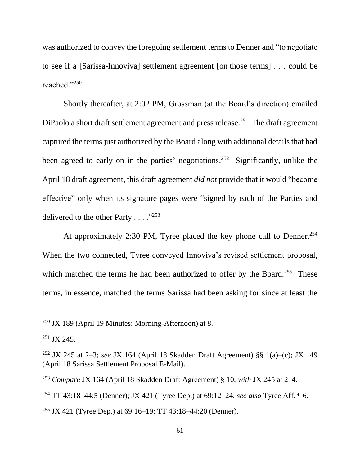was authorized to convey the foregoing settlement terms to Denner and "to negotiate to see if a [Sarissa-Innoviva] settlement agreement [on those terms] . . . could be reached."<sup>250</sup>

Shortly thereafter, at 2:02 PM, Grossman (at the Board's direction) emailed DiPaolo a short draft settlement agreement and press release.<sup>251</sup> The draft agreement captured the terms just authorized by the Board along with additional details that had been agreed to early on in the parties' negotiations.<sup>252</sup> Significantly, unlike the April 18 draft agreement, this draft agreement *did not* provide that it would "become effective" only when its signature pages were "signed by each of the Parties and delivered to the other Party  $\dots$  ."<sup>253</sup>

At approximately 2:30 PM, Tyree placed the key phone call to Denner.<sup>254</sup> When the two connected, Tyree conveyed Innoviva's revised settlement proposal, which matched the terms he had been authorized to offer by the Board.<sup>255</sup> These terms, in essence, matched the terms Sarissa had been asking for since at least the

 $250$  JX 189 (April 19 Minutes: Morning-Afternoon) at 8.

 $251$  JX 245.

<sup>252</sup> JX 245 at 2–3; *see* JX 164 (April 18 Skadden Draft Agreement) §§ 1(a)–(c); JX 149 (April 18 Sarissa Settlement Proposal E-Mail).

<sup>253</sup> *Compare* JX 164 (April 18 Skadden Draft Agreement) § 10, *with* JX 245 at 2–4.

<sup>254</sup> TT 43:18–44:5 (Denner); JX 421 (Tyree Dep.) at 69:12–24; *see also* Tyree Aff. ¶ 6.

<sup>255</sup> JX 421 (Tyree Dep.) at 69:16–19; TT 43:18–44:20 (Denner).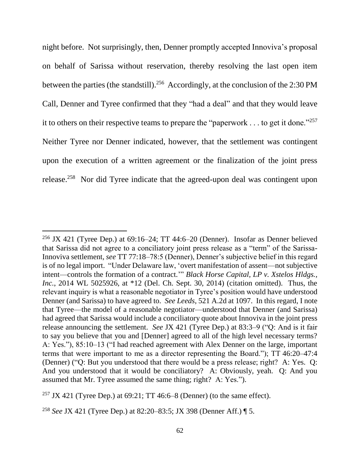night before. Not surprisingly, then, Denner promptly accepted Innoviva's proposal on behalf of Sarissa without reservation, thereby resolving the last open item between the parties (the standstill).<sup>256</sup> Accordingly, at the conclusion of the 2:30 PM Call, Denner and Tyree confirmed that they "had a deal" and that they would leave it to others on their respective teams to prepare the "paperwork . . . to get it done."<sup>257</sup> Neither Tyree nor Denner indicated, however, that the settlement was contingent upon the execution of a written agreement or the finalization of the joint press release.<sup>258</sup> Nor did Tyree indicate that the agreed-upon deal was contingent upon

<sup>&</sup>lt;sup>256</sup> JX 421 (Tyree Dep.) at  $69:16-24$ ; TT 44:6-20 (Denner). Insofar as Denner believed that Sarissa did not agree to a conciliatory joint press release as a "term" of the Sarissa-Innoviva settlement, *see* TT 77:18–78:5 (Denner), Denner's subjective belief in this regard is of no legal import. "Under Delaware law, 'overt manifestation of assent—not subjective intent—controls the formation of a contract.'" *Black Horse Capital, LP v. Xstelos Hldgs., Inc.*, 2014 WL 5025926, at \*12 (Del. Ch. Sept. 30, 2014) (citation omitted). Thus, the relevant inquiry is what a reasonable negotiator in Tyree's position would have understood Denner (and Sarissa) to have agreed to. *See Leeds*, 521 A.2d at 1097. In this regard, I note that Tyree—the model of a reasonable negotiator—understood that Denner (and Sarissa) had agreed that Sarissa would include a conciliatory quote about Innoviva in the joint press release announcing the settlement. *See* JX 421 (Tyree Dep.) at 83:3–9 ("Q: And is it fair to say you believe that you and [Denner] agreed to all of the high level necessary terms? A: Yes."), 85:10–13 ("I had reached agreement with Alex Denner on the large, important terms that were important to me as a director representing the Board."); TT 46:20–47:4 (Denner) ("Q: But you understood that there would be a press release; right? A: Yes. Q: And you understood that it would be conciliatory? A: Obviously, yeah. Q: And you assumed that Mr. Tyree assumed the same thing; right? A: Yes.").

<sup>&</sup>lt;sup>257</sup> JX 421 (Tyree Dep.) at  $69:21$ ; TT 46:6–8 (Denner) (to the same effect).

<sup>258</sup> *See* JX 421 (Tyree Dep.) at 82:20–83:5; JX 398 (Denner Aff.) ¶ 5.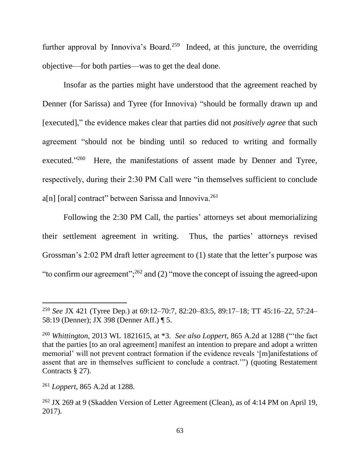further approval by Innoviva's Board.<sup>259</sup> Indeed, at this juncture, the overriding objective—for both parties—was to get the deal done.

Insofar as the parties might have understood that the agreement reached by Denner (for Sarissa) and Tyree (for Innoviva) "should be formally drawn up and [executed]," the evidence makes clear that parties did not *positively agree* that such agreement "should not be binding until so reduced to writing and formally executed."<sup>260</sup> Here, the manifestations of assent made by Denner and Tyree, respectively, during their 2:30 PM Call were "in themselves sufficient to conclude a[n] [oral] contract" between Sarissa and Innoviva.<sup>261</sup>

Following the 2:30 PM Call, the parties' attorneys set about memorializing their settlement agreement in writing. Thus, the parties' attorneys revised Grossman's 2:02 PM draft letter agreement to (1) state that the letter's purpose was "to confirm our agreement";  $^{262}$  and (2) "move the concept of issuing the agreed-upon

<sup>259</sup> *See* JX 421 (Tyree Dep.) at 69:12–70:7, 82:20–83:5, 89:17–18; TT 45:16–22, 57:24– 58:19 (Denner); JX 398 (Denner Aff.) ¶ 5.

<sup>260</sup> *Whittington*, 2013 WL 1821615, at \*3. *See also Loppert*, 865 A.2d at 1288 ("'the fact that the parties [to an oral agreement] manifest an intention to prepare and adopt a written memorial' will not prevent contract formation if the evidence reveals '[m]anifestations of assent that are in themselves sufficient to conclude a contract.'") (quoting Restatement Contracts § 27).

<sup>261</sup> *Loppert*, 865 A.2d at 1288.

<sup>262</sup> JX 269 at 9 (Skadden Version of Letter Agreement (Clean), as of 4:14 PM on April 19, 2017).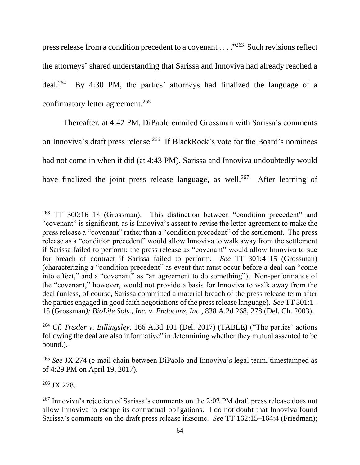press release from a condition precedent to a covenant . . . ."<sup>263</sup> Such revisions reflect the attorneys' shared understanding that Sarissa and Innoviva had already reached a deal.<sup>264</sup> By 4:30 PM, the parties' attorneys had finalized the language of a confirmatory letter agreement. 265

Thereafter, at 4:42 PM, DiPaolo emailed Grossman with Sarissa's comments on Innoviva's draft press release.<sup>266</sup> If BlackRock's vote for the Board's nominees had not come in when it did (at 4:43 PM), Sarissa and Innoviva undoubtedly would have finalized the joint press release language, as well.<sup>267</sup> After learning of

<sup>266</sup> JX 278.

<sup>263</sup> TT 300:16–18 (Grossman). This distinction between "condition precedent" and "covenant" is significant, as is Innoviva's assent to revise the letter agreement to make the press release a "covenant" rather than a "condition precedent" of the settlement. The press release as a "condition precedent" would allow Innoviva to walk away from the settlement if Sarissa failed to perform; the press release as "covenant" would allow Innoviva to sue for breach of contract if Sarissa failed to perform. *See* TT 301:4–15 (Grossman) (characterizing a "condition precedent" as event that must occur before a deal can "come into effect," and a "covenant" as "an agreement to do something"). Non-performance of the "covenant," however, would not provide a basis for Innoviva to walk away from the deal (unless, of course, Sarissa committed a material breach of the press release term after the parties engaged in good faith negotiations of the press release language). *See* TT 301:1– 15 (Grossman*); BioLife Sols., Inc. v. Endocare, Inc.*, 838 A.2d 268, 278 (Del. Ch. 2003).

<sup>264</sup> *Cf. Trexler v. Billingsley*, 166 A.3d 101 (Del. 2017) (TABLE) ("The parties' actions following the deal are also informative" in determining whether they mutual assented to be bound.).

<sup>265</sup> *See* JX 274 (e-mail chain between DiPaolo and Innoviva's legal team, timestamped as of 4:29 PM on April 19, 2017).

<sup>267</sup> Innoviva's rejection of Sarissa's comments on the 2:02 PM draft press release does not allow Innoviva to escape its contractual obligations. I do not doubt that Innoviva found Sarissa's comments on the draft press release irksome. *See* TT 162:15–164:4 (Friedman);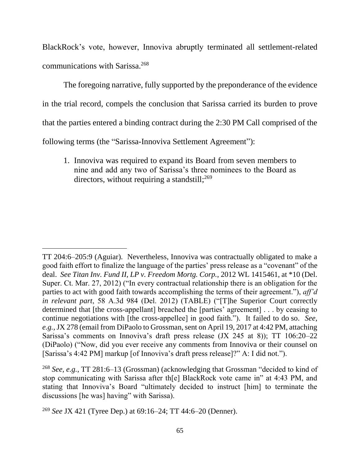BlackRock's vote, however, Innoviva abruptly terminated all settlement-related communications with Sarissa.<sup>268</sup>

The foregoing narrative, fully supported by the preponderance of the evidence in the trial record, compels the conclusion that Sarissa carried its burden to prove that the parties entered a binding contract during the 2:30 PM Call comprised of the following terms (the "Sarissa-Innoviva Settlement Agreement"):

1. Innoviva was required to expand its Board from seven members to nine and add any two of Sarissa's three nominees to the Board as directors, without requiring a standstill;<sup>269</sup>

TT 204:6–205:9 (Aguiar). Nevertheless, Innoviva was contractually obligated to make a good faith effort to finalize the language of the parties' press release as a "covenant" of the deal. *See Titan Inv. Fund II, LP v. Freedom Mortg. Corp.*, 2012 WL 1415461, at \*10 (Del. Super. Ct. Mar. 27, 2012) ("In every contractual relationship there is an obligation for the parties to act with good faith towards accomplishing the terms of their agreement."), *aff'd in relevant part*, 58 A.3d 984 (Del. 2012) (TABLE) ("[T]he Superior Court correctly determined that [the cross-appellant] breached the [parties' agreement] . . . by ceasing to continue negotiations with [the cross-appellee] in good faith."). It failed to do so. *See, e.g.*, JX 278 (email from DiPaolo to Grossman, sent on April 19, 2017 at 4:42 PM, attaching Sarissa's comments on Innoviva's draft press release (JX 245 at 8)); TT 106:20–22 (DiPaolo) ("Now, did you ever receive any comments from Innoviva or their counsel on [Sarissa's 4:42 PM] markup [of Innoviva's draft press release]?" A: I did not.").

<sup>268</sup> *See, e.g.*, TT 281:6–13 (Grossman) (acknowledging that Grossman "decided to kind of stop communicating with Sarissa after th[e] BlackRock vote came in" at 4:43 PM, and stating that Innoviva's Board "ultimately decided to instruct [him] to terminate the discussions [he was] having" with Sarissa).

<sup>269</sup> *See* JX 421 (Tyree Dep.) at 69:16–24; TT 44:6–20 (Denner).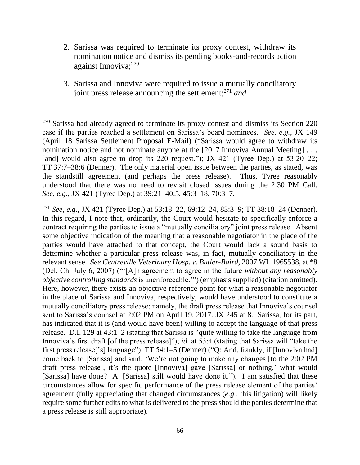- 2. Sarissa was required to terminate its proxy contest, withdraw its nomination notice and dismiss its pending books-and-records action against Innoviva;<sup>270</sup>
- 3. Sarissa and Innoviva were required to issue a mutually conciliatory joint press release announcing the settlement;<sup>271</sup> *and*

 $270$  Sarissa had already agreed to terminate its proxy contest and dismiss its Section 220 case if the parties reached a settlement on Sarissa's board nominees. *See, e.g.*, JX 149 (April 18 Sarissa Settlement Proposal E-Mail) ("Sarissa would agree to withdraw its nomination notice and not nominate anyone at the [2017 Innoviva Annual Meeting] . . . [and] would also agree to drop its 220 request."); JX 421 (Tyree Dep.) at 53:20–22; TT 37:7–38:6 (Denner). The only material open issue between the parties, as stated, was the standstill agreement (and perhaps the press release). Thus, Tyree reasonably understood that there was no need to revisit closed issues during the 2:30 PM Call. *See, e.g.*, JX 421 (Tyree Dep.) at 39:21–40:5, 45:3–18, 70:3–7.

<sup>271</sup> *See, e.g.*, JX 421 (Tyree Dep.) at 53:18–22, 69:12–24, 83:3–9; TT 38:18–24 (Denner). In this regard, I note that, ordinarily, the Court would hesitate to specifically enforce a contract requiring the parties to issue a "mutually conciliatory" joint press release. Absent some objective indication of the meaning that a reasonable negotiator in the place of the parties would have attached to that concept, the Court would lack a sound basis to determine whether a particular press release was, in fact, mutually conciliatory in the relevant sense. *See Centreville Veterinary Hosp. v. Butler-Baird*, 2007 WL 1965538, at \*8 (Del. Ch. July 6, 2007) ("'[A]n agreement to agree in the future *without any reasonably objective controlling standards* is unenforceable.'") (emphasis supplied) (citation omitted). Here, however, there exists an objective reference point for what a reasonable negotiator in the place of Sarissa and Innoviva, respectively, would have understood to constitute a mutually conciliatory press release; namely, the draft press release that Innoviva's counsel sent to Sarissa's counsel at 2:02 PM on April 19, 2017. JX 245 at 8. Sarissa, for its part, has indicated that it is (and would have been) willing to accept the language of that press release. D.I. 129 at 43:1–2 (stating that Sarissa is "quite willing to take the language from Innoviva's first draft [of the press release]"); *id.* at 53:4 (stating that Sarissa will "take the first press release['s] language"); TT 54:1–5 (Denner) ("Q: And, frankly, if [Innoviva had] come back to [Sarissa] and said, 'We're not going to make any changes [to the 2:02 PM draft press release], it's the quote [Innoviva] gave [Sarissa] or nothing,' what would [Sarissa] have done? A: [Sarissa] still would have done it."). I am satisfied that these circumstances allow for specific performance of the press release element of the parties' agreement (fully appreciating that changed circumstances (*e.g.*, this litigation) will likely require some further edits to what is delivered to the press should the parties determine that a press release is still appropriate).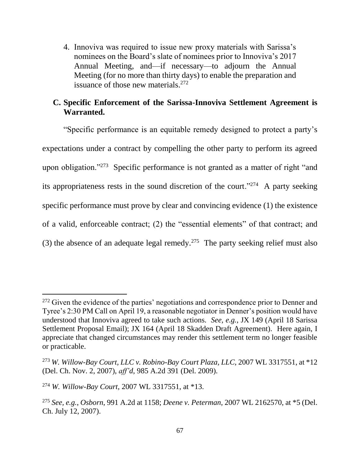4. Innoviva was required to issue new proxy materials with Sarissa's nominees on the Board's slate of nominees prior to Innoviva's 2017 Annual Meeting, and—if necessary—to adjourn the Annual Meeting (for no more than thirty days) to enable the preparation and issuance of those new materials.<sup>272</sup>

## **C. Specific Enforcement of the Sarissa-Innoviva Settlement Agreement is Warranted.**

"Specific performance is an equitable remedy designed to protect a party's expectations under a contract by compelling the other party to perform its agreed upon obligation."<sup>273</sup> Specific performance is not granted as a matter of right "and its appropriateness rests in the sound discretion of the court."<sup>274</sup> A party seeking specific performance must prove by clear and convincing evidence (1) the existence of a valid, enforceable contract; (2) the "essential elements" of that contract; and (3) the absence of an adequate legal remedy.<sup>275</sup> The party seeking relief must also

<sup>&</sup>lt;sup>272</sup> Given the evidence of the parties' negotiations and correspondence prior to Denner and Tyree's 2:30 PM Call on April 19, a reasonable negotiator in Denner's position would have understood that Innoviva agreed to take such actions. *See, e.g.*, JX 149 (April 18 Sarissa Settlement Proposal Email); JX 164 (April 18 Skadden Draft Agreement). Here again, I appreciate that changed circumstances may render this settlement term no longer feasible or practicable.

<sup>273</sup> *W. Willow-Bay Court, LLC v. Robino-Bay Court Plaza, LLC*, 2007 WL 3317551, at \*12 (Del. Ch. Nov. 2, 2007), *aff'd*, 985 A.2d 391 (Del. 2009).

<sup>274</sup> *W. Willow-Bay Court*, 2007 WL 3317551, at \*13.

<sup>275</sup> *See, e.g.*, *Osborn*, 991 A.2d at 1158; *Deene v. Peterman*, 2007 WL 2162570, at \*5 (Del. Ch. July 12, 2007).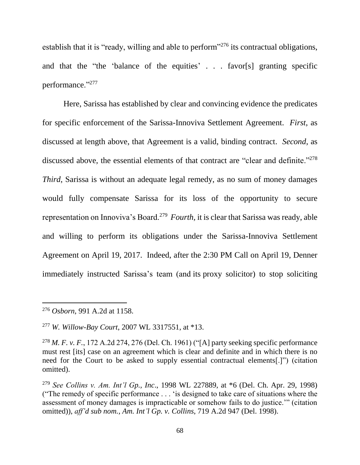establish that it is "ready, willing and able to perform"<sup>276</sup> its contractual obligations, and that the "the 'balance of the equities' . . . favor[s] granting specific performance."<sup>277</sup>

Here, Sarissa has established by clear and convincing evidence the predicates for specific enforcement of the Sarissa-Innoviva Settlement Agreement. *First*, as discussed at length above, that Agreement is a valid, binding contract. *Second*, as discussed above, the essential elements of that contract are "clear and definite."<sup>278</sup> *Third*, Sarissa is without an adequate legal remedy, as no sum of money damages would fully compensate Sarissa for its loss of the opportunity to secure representation on Innoviva's Board.<sup>279</sup> Fourth, it is clear that Sarissa was ready, able and willing to perform its obligations under the Sarissa-Innoviva Settlement Agreement on April 19, 2017. Indeed, after the 2:30 PM Call on April 19, Denner immediately instructed Sarissa's team (and its proxy solicitor) to stop soliciting

<sup>276</sup> *Osborn*, 991 A.2d at 1158.

<sup>277</sup> *W. Willow-Bay Court*, 2007 WL 3317551, at \*13.

<sup>278</sup> *M. F. v. F.*, 172 A.2d 274, 276 (Del. Ch. 1961) ("[A] party seeking specific performance must rest [its] case on an agreement which is clear and definite and in which there is no need for the Court to be asked to supply essential contractual elements[.]") (citation omitted).

<sup>279</sup> *See Collins v. Am. Int'l Gp., Inc*., 1998 WL 227889, at \*6 (Del. Ch. Apr. 29, 1998) ("The remedy of specific performance . . . 'is designed to take care of situations where the assessment of money damages is impracticable or somehow fails to do justice.'" (citation omitted)), *aff'd sub nom., Am. Int'l Gp. v. Collins*, 719 A.2d 947 (Del. 1998).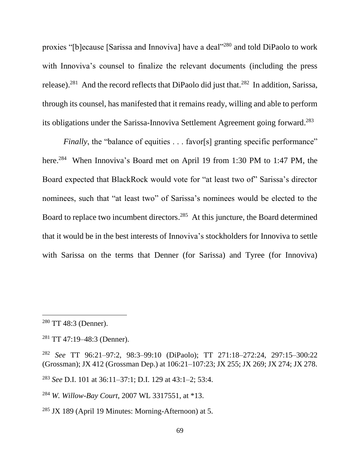proxies "[b]ecause [Sarissa and Innoviva] have a deal"<sup>280</sup> and told DiPaolo to work with Innoviva's counsel to finalize the relevant documents (including the press release).<sup>281</sup> And the record reflects that DiPaolo did just that.<sup>282</sup> In addition, Sarissa, through its counsel, has manifested that it remains ready, willing and able to perform its obligations under the Sarissa-Innoviva Settlement Agreement going forward.<sup>283</sup>

*Finally*, the "balance of equities . . . favor[s] granting specific performance" here.<sup>284</sup> When Innoviva's Board met on April 19 from 1:30 PM to 1:47 PM, the Board expected that BlackRock would vote for "at least two of" Sarissa's director nominees, such that "at least two" of Sarissa's nominees would be elected to the Board to replace two incumbent directors.<sup>285</sup> At this juncture, the Board determined that it would be in the best interests of Innoviva's stockholders for Innoviva to settle with Sarissa on the terms that Denner (for Sarissa) and Tyree (for Innoviva)

<sup>280</sup> TT 48:3 (Denner).

<sup>281</sup> TT 47:19–48:3 (Denner).

<sup>282</sup> *See* TT 96:21–97:2, 98:3–99:10 (DiPaolo); TT 271:18–272:24, 297:15–300:22 (Grossman); JX 412 (Grossman Dep.) at 106:21–107:23; JX 255; JX 269; JX 274; JX 278.

<sup>283</sup> *See* D.I. 101 at 36:11–37:1; D.I. 129 at 43:1–2; 53:4.

<sup>284</sup> *W. Willow-Bay Court*, 2007 WL 3317551, at \*13.

 $285$  JX 189 (April 19 Minutes: Morning-Afternoon) at 5.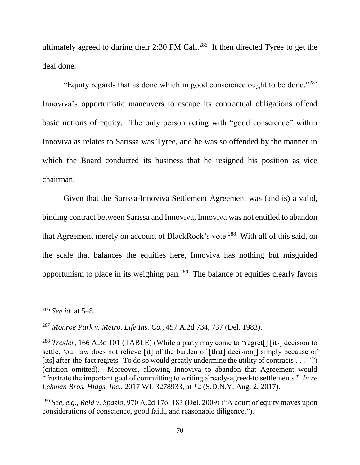ultimately agreed to during their 2:30 PM Call.<sup>286</sup> It then directed Tyree to get the deal done.

"Equity regards that as done which in good conscience ought to be done." $287$ Innoviva's opportunistic maneuvers to escape its contractual obligations offend basic notions of equity. The only person acting with "good conscience" within Innoviva as relates to Sarissa was Tyree, and he was so offended by the manner in which the Board conducted its business that he resigned his position as vice chairman.

Given that the Sarissa-Innoviva Settlement Agreement was (and is) a valid, binding contract between Sarissa and Innoviva, Innoviva was not entitled to abandon that Agreement merely on account of BlackRock's vote.<sup>288</sup> With all of this said, on the scale that balances the equities here, Innoviva has nothing but misguided opportunism to place in its weighing pan.<sup>289</sup> The balance of equities clearly favors

<sup>286</sup> *See id.* at 5–8.

<sup>287</sup> *Monroe Park v. Metro. Life Ins. Co.*, 457 A.2d 734, 737 (Del. 1983).

<sup>&</sup>lt;sup>288</sup> *Trexler*, 166 A.3d 101 (TABLE) (While a party may come to "regret<sup>[]</sup> [its] decision to settle, 'our law does not relieve [it] of the burden of [that] decision[] simply because of [its] after-the-fact regrets. To do so would greatly undermine the utility of contracts . . . .'") (citation omitted). Moreover, allowing Innoviva to abandon that Agreement would "frustrate the important goal of committing to writing already-agreed-to settlements*.*" *In re Lehman Bros. Hldgs. Inc.*, 2017 WL 3278933, at \*2 (S.D.N.Y. Aug. 2, 2017).

<sup>289</sup> *See, e.g.*, *Reid v. Spazio*, 970 A.2d 176, 183 (Del. 2009) ("A court of equity moves upon considerations of conscience, good faith, and reasonable diligence.").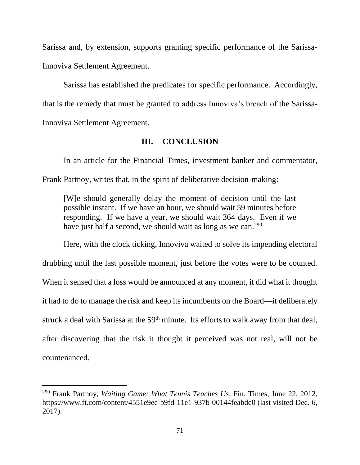Sarissa and, by extension, supports granting specific performance of the Sarissa-Innoviva Settlement Agreement.

Sarissa has established the predicates for specific performance. Accordingly, that is the remedy that must be granted to address Innoviva's breach of the Sarissa-Innoviva Settlement Agreement.

#### **III. CONCLUSION**

In an article for the Financial Times, investment banker and commentator, Frank Partnoy, writes that, in the spirit of deliberative decision-making:

[W]e should generally delay the moment of decision until the last possible instant. If we have an hour, we should wait 59 minutes before responding. If we have a year, we should wait 364 days. Even if we have just half a second, we should wait as long as we can.<sup>290</sup>

Here, with the clock ticking, Innoviva waited to solve its impending electoral drubbing until the last possible moment, just before the votes were to be counted. When it sensed that a loss would be announced at any moment, it did what it thought it had to do to manage the risk and keep its incumbents on the Board—it deliberately struck a deal with Sarissa at the 59<sup>th</sup> minute. Its efforts to walk away from that deal, after discovering that the risk it thought it perceived was not real, will not be countenanced.

<sup>290</sup> Frank Partnoy, *Waiting Game: What Tennis Teaches Us*, Fin. Times, June 22, 2012, https://www.ft.com/content/4551e9ee-b9fd-11e1-937b-00144feabdc0 (last visited Dec. 6, 2017).